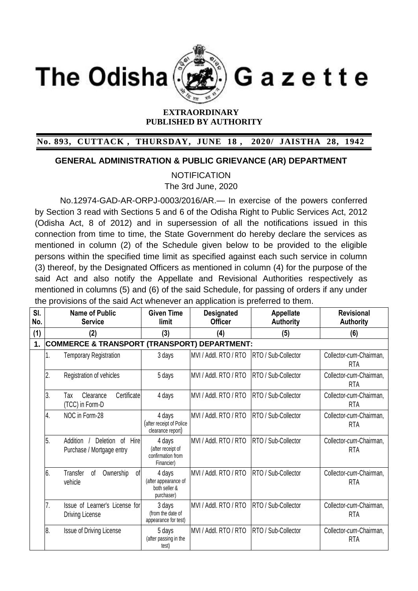**The Odisha** 



Gazette

## **EXTRAORDINARY PUBLISHED BY AUTHORITY**

## **No. 893, CUTTACK , THURSDAY, JUNE 18 , 2020/ JAISTHA 28, 1942**

## **GENERAL ADMINISTRATION & PUBLIC GRIEVANCE (AR) DEPARTMENT**

**NOTIFICATION** 

The 3rd June, 2020

No.12974-GAD-AR-ORPJ-0003/2016/AR.— In exercise of the powers conferred by Section 3 read with Sections 5 and 6 of the Odisha Right to Public Services Act, 2012 (Odisha Act, 8 of 2012) and in supersession of all the notifications issued in this connection from time to time, the State Government do hereby declare the services as mentioned in column (2) of the Schedule given below to be provided to the eligible persons within the specified time limit as specified against each such service in column (3) thereof, by the Designated Officers as mentioned in column (4) for the purpose of the said Act and also notify the Appellate and Revisional Authorities respectively as mentioned in columns (5) and (6) of the said Schedule, for passing of orders if any under the provisions of the said Act whenever an application is preferred to them.

| SI.<br>No. | <b>Name of Public</b><br><b>Service</b>                               | <b>Given Time</b><br>limit                                     | <b>Designated</b><br><b>Officer</b> | Appellate<br><b>Authority</b> | <b>Revisional</b><br><b>Authority</b> |
|------------|-----------------------------------------------------------------------|----------------------------------------------------------------|-------------------------------------|-------------------------------|---------------------------------------|
| (1)        | (2)                                                                   | (3)                                                            | (4)                                 | (5)                           | (6)                                   |
| 1.         | <b>COMMERCE &amp; TRANSPORT (TRANSPORT) DEPARTMENT:</b>               |                                                                |                                     |                               |                                       |
|            | 1.<br><b>Temporary Registration</b>                                   | 3 days                                                         | MVI / Addl. RTO / RTO               | RTO / Sub-Collector           | Collector-cum-Chairman,<br><b>RTA</b> |
|            | 2.<br>Registration of vehicles                                        | 5 days                                                         | MVI / Addl. RTO / RTO               | RTO / Sub-Collector           | Collector-cum-Chairman,<br><b>RTA</b> |
|            | 3.<br>Certificate<br>Clearance<br>Тах<br>(TCC) in Form-D              | 4 days                                                         | MVI / Addl. RTO / RTO               | RTO / Sub-Collector           | Collector-cum-Chairman,<br><b>RTA</b> |
|            | $\overline{4}$ .<br>NOC in Form-28                                    | 4 days<br>(after receipt of Police<br>clearance report)        | MVI / Addl. RTO / RTO               | RTO / Sub-Collector           | Collector-cum-Chairman,<br><b>RTA</b> |
|            | 5.<br>Hire<br>Addition<br>Deletion<br>0f<br>Purchase / Mortgage entry | 4 days<br>(after receipt of<br>confirmation from<br>Financier) | MVI / Addl. RTO / RTO               | RTO / Sub-Collector           | Collector-cum-Chairman,<br><b>RTA</b> |
|            | 6.<br>Ownership<br>Transfer<br>of<br>0f<br>vehicle                    | 4 days<br>(after appearance of<br>both seller &<br>purchaser)  | MVI / Addl. RTO / RTO               | RTO / Sub-Collector           | Collector-cum-Chairman,<br><b>RTA</b> |
|            | 7.<br>Issue of Learner's License for<br>Driving License               | 3 days<br>(from the date of<br>appearance for test)            | MVI / Addl. RTO / RTO               | RTO / Sub-Collector           | Collector-cum-Chairman,<br><b>RTA</b> |
|            | 8.<br>Issue of Driving License                                        | 5 days<br>(after passing in the<br>test)                       | MVI / Addl. RTO / RTO               | RTO / Sub-Collector           | Collector-cum-Chairman,<br><b>RTA</b> |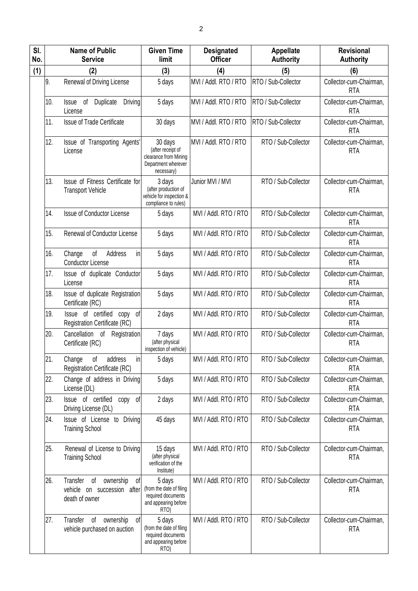| SI.<br>No. | <b>Name of Public</b><br><b>Service</b>                                          | <b>Given Time</b><br>limit                                                                     | <b>Designated</b><br><b>Officer</b> | <b>Appellate</b><br><b>Authority</b> | <b>Revisional</b><br><b>Authority</b> |
|------------|----------------------------------------------------------------------------------|------------------------------------------------------------------------------------------------|-------------------------------------|--------------------------------------|---------------------------------------|
| (1)        | (2)                                                                              | (3)                                                                                            | (4)                                 | (5)                                  | (6)                                   |
|            | 9.<br>Renewal of Driving License                                                 | 5 days                                                                                         | MVI / Addl. RTO / RTO               | RTO / Sub-Collector                  | Collector-cum-Chairman,<br><b>RTA</b> |
|            | 10.<br>Duplicate<br>Issue<br>of<br>License                                       | Driving<br>5 days                                                                              | MVI / Addl. RTO / RTO               | RTO / Sub-Collector                  | Collector-cum-Chairman,<br><b>RTA</b> |
|            | 11.<br><b>Issue of Trade Certificate</b>                                         | 30 days                                                                                        | MVI / Addl. RTO / RTO               | RTO / Sub-Collector                  | Collector-cum-Chairman,<br><b>RTA</b> |
|            | 12.<br>Issue of Transporting Agents'<br>License                                  | 30 days<br>(after receipt of<br>clearance from Mining<br>Department wherever<br>necessary)     | MVI / Addl. RTO / RTO               | RTO / Sub-Collector                  | Collector-cum-Chairman,<br><b>RTA</b> |
|            | 13.<br>Issue of Fitness Certificate for<br><b>Transport Vehicle</b>              | 3 days<br>(after production of<br>vehicle for inspection &<br>compliance to rules)             | Junior MVI / MVI                    | RTO / Sub-Collector                  | Collector-cum-Chairman,<br><b>RTA</b> |
|            | <b>Issue of Conductor License</b><br>14.                                         | 5 days                                                                                         | MVI / Addl. RTO / RTO               | RTO / Sub-Collector                  | Collector-cum-Chairman,<br><b>RTA</b> |
|            | 15.<br><b>Renewal of Conductor License</b>                                       | 5 days                                                                                         | MVI / Addl. RTO / RTO               | RTO / Sub-Collector                  | Collector-cum-Chairman,<br><b>RTA</b> |
|            | 16.<br>Address<br>Change<br>of<br><b>Conductor License</b>                       | in<br>5 days                                                                                   | MVI / Addl. RTO / RTO               | RTO / Sub-Collector                  | Collector-cum-Chairman,<br><b>RTA</b> |
|            | 17.<br>Issue of duplicate Conductor<br>License                                   | 5 days                                                                                         | MVI / Addl. RTO / RTO               | RTO / Sub-Collector                  | Collector-cum-Chairman,<br><b>RTA</b> |
|            | 18.<br>Issue of duplicate Registration<br>Certificate (RC)                       | 5 days                                                                                         | MVI / Addl. RTO / RTO               | RTO / Sub-Collector                  | Collector-cum-Chairman,<br><b>RTA</b> |
|            | 19.<br>Issue of certified copy of<br><b>Registration Certificate (RC)</b>        | 2 days                                                                                         | MVI / Addl. RTO / RTO               | RTO / Sub-Collector                  | Collector-cum-Chairman,<br><b>RTA</b> |
|            | 20.<br>Cancellation<br>Registration<br>0f<br>Certificate (RC)                    | 7 days<br>(after physical<br>inspection of vehicle)                                            | MVI / Addl. RTO / RTO               | RTO / Sub-Collector                  | Collector-cum-Chairman,<br><b>RTA</b> |
|            | 21<br>Change<br>of<br>address<br><b>Registration Certificate (RC)</b>            | 5 days<br>in                                                                                   | MVI / Addl. RTO / RTO               | RTO / Sub-Collector                  | Collector-cum-Chairman,<br><b>RTA</b> |
|            | 22.<br>Change of address in Driving<br>License (DL)                              | 5 days                                                                                         | MVI / Addl. RTO / RTO               | RTO / Sub-Collector                  | Collector-cum-Chairman,<br><b>RTA</b> |
|            | Issue of certified<br>23.<br>сору<br>Driving License (DL)                        | 2 days<br>0f                                                                                   | MVI / Addl. RTO / RTO               | RTO / Sub-Collector                  | Collector-cum-Chairman,<br><b>RTA</b> |
|            | Issue of License to Driving<br>24.<br><b>Training School</b>                     | 45 days                                                                                        | MVI / Addl. RTO / RTO               | RTO / Sub-Collector                  | Collector-cum-Chairman,<br><b>RTA</b> |
|            | 25.<br>Renewal of License to Driving<br><b>Training School</b>                   | 15 days<br>(after physical<br>verification of the<br>Institute)                                | MVI / Addl. RTO / RTO               | RTO / Sub-Collector                  | Collector-cum-Chairman,<br><b>RTA</b> |
|            | 26.<br>Transfer of<br>ownership<br>vehicle on succession after<br>death of owner | of<br>5 days<br>(from the date of filing<br>required documents<br>and appearing before<br>RTO) | MVI / Addl. RTO / RTO               | RTO / Sub-Collector                  | Collector-cum-Chairman,<br><b>RTA</b> |
|            | 27.<br>Transfer of ownership<br>vehicle purchased on auction                     | 5 days<br>0f<br>(from the date of filing<br>required documents<br>and appearing before<br>RTO) | MVI / Addl. RTO / RTO               | RTO / Sub-Collector                  | Collector-cum-Chairman,<br><b>RTA</b> |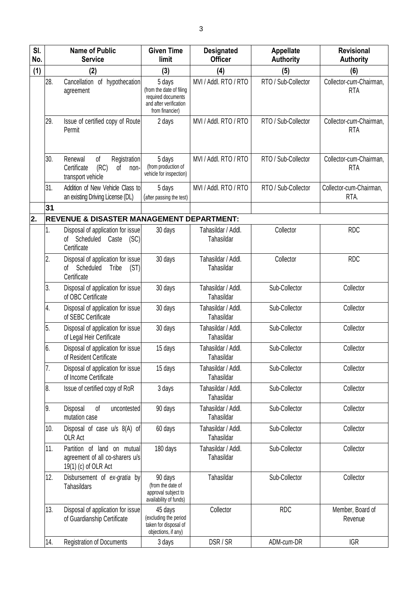| SI.<br>No. |     | <b>Name of Public</b><br><b>Service</b>                                                 | <b>Given Time</b><br>limit                                                                            | <b>Designated</b><br><b>Officer</b> | <b>Appellate</b><br><b>Authority</b> | <b>Revisional</b><br><b>Authority</b> |
|------------|-----|-----------------------------------------------------------------------------------------|-------------------------------------------------------------------------------------------------------|-------------------------------------|--------------------------------------|---------------------------------------|
| (1)        |     | (2)                                                                                     | (3)                                                                                                   | (4)                                 | (5)                                  | (6)                                   |
|            | 28. | Cancellation of hypothecation<br>agreement                                              | 5 days<br>(from the date of filing<br>required documents<br>and after verification<br>from financier) | MVI / Addl. RTO / RTO               | RTO / Sub-Collector                  | Collector-cum-Chairman,<br><b>RTA</b> |
|            | 29. | Issue of certified copy of Route<br>Permit                                              | 2 days                                                                                                | MVI / Addl. RTO / RTO               | RTO / Sub-Collector                  | Collector-cum-Chairman,<br><b>RTA</b> |
|            | 30. | Renewal<br>οf<br>Registration<br>Certificate<br>(RC)<br>of<br>non-<br>transport vehicle | 5 days<br>(from production of<br>vehicle for inspection)                                              | MVI / Addl. RTO / RTO               | RTO / Sub-Collector                  | Collector-cum-Chairman,<br><b>RTA</b> |
|            | 31. | Addition of New Vehicle Class to<br>an existing Driving License (DL)                    | 5 days<br>(after passing the test)                                                                    | MVI / Addl. RTO / RTO               | RTO / Sub-Collector                  | Collector-cum-Chairman,<br>RTA.       |
|            | 31  |                                                                                         |                                                                                                       |                                     |                                      |                                       |
| 2.         |     | <b>REVENUE &amp; DISASTER MANAGEMENT DEPARTMENT:</b>                                    |                                                                                                       |                                     |                                      |                                       |
|            | 1.  | Disposal of application for issue<br>of Scheduled<br>(SC)<br>Caste<br>Certificate       | 30 days                                                                                               | Tahasildar / Addl.<br>Tahasildar    | Collector                            | <b>RDC</b>                            |
|            | 2.  | Disposal of application for issue<br>Scheduled<br>(ST)<br>Tribe<br>оf<br>Certificate    | 30 days                                                                                               | Tahasildar / Addl.<br>Tahasildar    | Collector                            | <b>RDC</b>                            |
|            | 3.  | Disposal of application for issue<br>of OBC Certificate                                 | 30 days                                                                                               | Tahasildar / Addl.<br>Tahasildar    | Sub-Collector                        | Collector                             |
|            | 4.  | Disposal of application for issue<br>of SEBC Certificate                                | 30 days                                                                                               | Tahasildar / Addl.<br>Tahasildar    | Sub-Collector                        | Collector                             |
|            | 5.  | Disposal of application for issue<br>of Legal Heir Certificate                          | 30 days                                                                                               | Tahasildar / Addl.<br>Tahasildar    | Sub-Collector                        | Collector                             |
|            | 6.  | Disposal of application for issue<br>of Resident Certificate                            | 15 days                                                                                               | Tahasildar / Addl.<br>Tahasildar    | Sub-Collector                        | Collector                             |
|            | 7.  | Disposal of application for issue<br>of Income Certificate                              | 15 days                                                                                               | Tahasildar / Addl.<br>Tahasildar    | Sub-Collector                        | Collector                             |
|            | 8.  | Issue of certified copy of RoR                                                          | 3 days                                                                                                | Tahasildar / Addl.<br>Tahasildar    | Sub-Collector                        | Collector                             |
|            | 9.  | Disposal<br>of<br>uncontested<br>mutation case                                          | 90 days                                                                                               | Tahasildar / Addl.<br>Tahasildar    | Sub-Collector                        | Collector                             |
|            | 10. | Disposal of case u/s 8(A) of<br>OLR Act                                                 | 60 days                                                                                               | Tahasildar / Addl.<br>Tahasildar    | Sub-Collector                        | Collector                             |
|            | 11. | Partition of land on mutual<br>agreement of all co-sharers u/s<br>19(1) (c) of OLR Act  | 180 days                                                                                              | Tahasildar / Addl.<br>Tahasildar    | Sub-Collector                        | Collector                             |
|            | 12. | Disbursement of ex-gratia by<br><b>Tahasildars</b>                                      | 90 days<br>(from the date of<br>approval subject to<br>availability of funds)                         | Tahasildar                          | Sub-Collector                        | Collector                             |
|            | 13. | Disposal of application for issue<br>of Guardianship Certificate                        | 45 days<br>(excluding the period<br>taken for disposal of<br>objections, if any)                      | Collector                           | <b>RDC</b>                           | Member, Board of<br>Revenue           |
|            | 14. | <b>Registration of Documents</b>                                                        | 3 days                                                                                                | DSR / SR                            | ADM-cum-DR                           | <b>IGR</b>                            |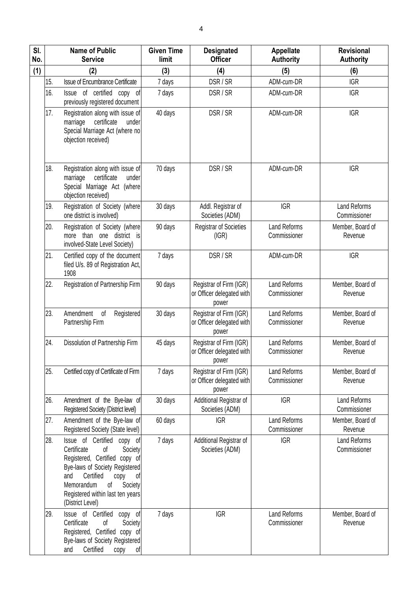| SI.<br>No. | <b>Name of Public</b><br><b>Service</b>                                                                                                                                                                                                                | <b>Given Time</b><br>limit | <b>Designated</b><br><b>Officer</b>                           | Appellate<br><b>Authority</b>       | <b>Revisional</b><br><b>Authority</b> |
|------------|--------------------------------------------------------------------------------------------------------------------------------------------------------------------------------------------------------------------------------------------------------|----------------------------|---------------------------------------------------------------|-------------------------------------|---------------------------------------|
| (1)        | (2)                                                                                                                                                                                                                                                    | (3)                        | (4)                                                           | (5)                                 | (6)                                   |
| 15.        | <b>Issue of Encumbrance Certificate</b>                                                                                                                                                                                                                | 7 days                     | DSR / SR                                                      | ADM-cum-DR                          | <b>IGR</b>                            |
| 16.        | Issue of certified copy of<br>previously registered document                                                                                                                                                                                           | 7 days                     | DSR / SR                                                      | ADM-cum-DR                          | <b>IGR</b>                            |
| 17.        | Registration along with issue of<br>certificate<br>under<br>marriage<br>Special Marriage Act (where no<br>objection received)                                                                                                                          | 40 days                    | DSR / SR                                                      | ADM-cum-DR                          | <b>IGR</b>                            |
| 18.        | Registration along with issue of<br>marriage<br>certificate<br>under<br>Special Marriage Act (where<br>objection received)                                                                                                                             | 70 days                    | DSR / SR                                                      | ADM-cum-DR                          | <b>IGR</b>                            |
| 19.        | Registration of Society (where<br>one district is involved)                                                                                                                                                                                            | 30 days                    | Addl. Registrar of<br>Societies (ADM)                         | <b>IGR</b>                          | <b>Land Reforms</b><br>Commissioner   |
| 20.        | Registration of Society (where<br>more than one district is<br>involved-State Level Society)                                                                                                                                                           | 90 days                    | <b>Registrar of Societies</b><br>(IGR)                        | <b>Land Reforms</b><br>Commissioner | Member, Board of<br>Revenue           |
| 21.        | Certified copy of the document<br>filed U/s. 89 of Registration Act,<br>1908                                                                                                                                                                           | 7 days                     | DSR / SR                                                      | ADM-cum-DR                          | <b>IGR</b>                            |
| 22.        | Registration of Partnership Firm                                                                                                                                                                                                                       | 90 days                    | Registrar of Firm (IGR)<br>or Officer delegated with<br>power | <b>Land Reforms</b><br>Commissioner | Member, Board of<br>Revenue           |
| 23.        | Amendment<br>of<br>Registered<br>Partnership Firm                                                                                                                                                                                                      | 30 days                    | Registrar of Firm (IGR)<br>or Officer delegated with<br>power | <b>Land Reforms</b><br>Commissioner | Member, Board of<br>Revenue           |
| 24.        | Dissolution of Partnership Firm                                                                                                                                                                                                                        | 45 days                    | Registrar of Firm (IGR)<br>or Officer delegated with<br>power | Land Reforms<br>Commissioner        | Member, Board of<br>Revenue           |
| 25.        | Certified copy of Certificate of Firm                                                                                                                                                                                                                  | 7 days                     | Registrar of Firm (IGR)<br>or Officer delegated with<br>power | <b>Land Reforms</b><br>Commissioner | Member, Board of<br>Revenue           |
| 26.        | Amendment of the Bye-law of<br>Registered Society (District level)                                                                                                                                                                                     | 30 days                    | Additional Registrar of<br>Societies (ADM)                    | <b>IGR</b>                          | <b>Land Reforms</b><br>Commissioner   |
| 27.        | Amendment of the Bye-law of<br>Registered Society (State level)                                                                                                                                                                                        | 60 days                    | <b>IGR</b>                                                    | <b>Land Reforms</b><br>Commissioner | Member, Board of<br>Revenue           |
| 28.        | Issue of Certified copy of<br>Certificate<br>Society<br>οf<br>Registered, Certified copy of<br>Bye-laws of Society Registered<br>Certified<br>and<br>of<br>copy<br>Memorandum<br>of<br>Society<br>Registered within last ten years<br>(District Level) | 7 days                     | Additional Registrar of<br>Societies (ADM)                    | <b>IGR</b>                          | <b>Land Reforms</b><br>Commissioner   |
| 29.        | Issue of Certified<br>copy of<br>Certificate<br>Оf<br>Society<br>Registered, Certified copy of<br>Bye-laws of Society Registered<br>Certified<br>and<br>copy of                                                                                        | 7 days                     | <b>IGR</b>                                                    | Land Reforms<br>Commissioner        | Member, Board of<br>Revenue           |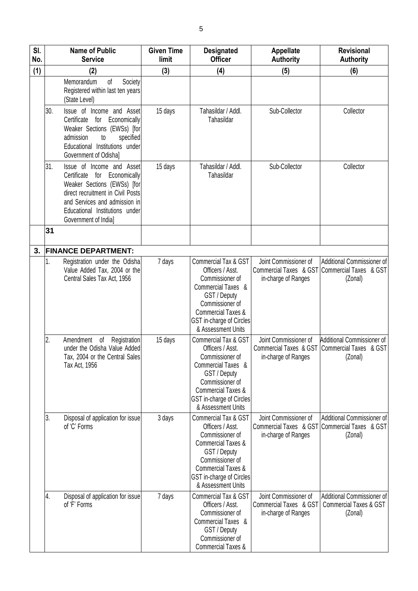| SI.<br>No. | <b>Name of Public</b><br><b>Service</b>                                                                                                                                                                                            | <b>Given Time</b><br>limit | <b>Designated</b><br><b>Officer</b>                                                                                                                                                                     | <b>Appellate</b><br><b>Authority</b>                                              | <b>Revisional</b><br><b>Authority</b>                                      |
|------------|------------------------------------------------------------------------------------------------------------------------------------------------------------------------------------------------------------------------------------|----------------------------|---------------------------------------------------------------------------------------------------------------------------------------------------------------------------------------------------------|-----------------------------------------------------------------------------------|----------------------------------------------------------------------------|
| (1)        | (2)                                                                                                                                                                                                                                | (3)                        | (4)                                                                                                                                                                                                     | (5)                                                                               | (6)                                                                        |
|            | Memorandum<br>of<br>Society<br>Registered within last ten years<br>(State Level)                                                                                                                                                   |                            |                                                                                                                                                                                                         |                                                                                   |                                                                            |
|            | Issue of Income and Asset<br>30.<br>Economically<br>Certificate<br>for<br>Weaker Sections (EWSs) [for<br>admission<br>specified<br>to<br>Educational Institutions under<br>Government of Odishal                                   | 15 days                    | Tahasildar / Addl.<br>Tahasildar                                                                                                                                                                        | Sub-Collector                                                                     | Collector                                                                  |
|            | 31.<br>Issue of Income and Asset<br>Certificate<br>for Economically<br>Weaker Sections (EWSs) [for<br>direct recruitment in Civil Posts<br>and Services and admission in<br>Educational Institutions under<br>Government of India] | 15 days                    | Tahasildar / Addl.<br>Tahasildar                                                                                                                                                                        | Sub-Collector                                                                     | Collector                                                                  |
|            | 31                                                                                                                                                                                                                                 |                            |                                                                                                                                                                                                         |                                                                                   |                                                                            |
| 3.         | <b>FINANCE DEPARTMENT:</b>                                                                                                                                                                                                         |                            |                                                                                                                                                                                                         |                                                                                   |                                                                            |
|            | 1.<br>Registration under the Odisha<br>Value Added Tax, 2004 or the<br>Central Sales Tax Act, 1956                                                                                                                                 | 7 days                     | Commercial Tax & GST<br>Officers / Asst.<br>Commissioner of<br>Commercial Taxes &<br>GST / Deputy<br>Commissioner of<br><b>Commercial Taxes &amp;</b><br>GST in-charge of Circles<br>& Assessment Units | Joint Commissioner of<br>Commercial Taxes & GST<br>in-charge of Ranges            | Additional Commissioner of<br>Commercial Taxes & GST<br>(Zonal)            |
|            | 2.<br>Amendment<br>Registration<br>of<br>under the Odisha Value Added<br>Tax, 2004 or the Central Sales<br>Tax Act, 1956                                                                                                           | 15 days                    | Commercial Tax & GST<br>Officers / Asst.<br>Commissioner of<br>Commercial Taxes &<br>GST / Deputy<br>Commissioner of<br><b>Commercial Taxes &amp;</b><br>GST in-charge of Circles<br>& Assessment Units | Joint Commissioner of<br><b>Commercial Taxes &amp; GST</b><br>in-charge of Ranges | Additional Commissioner of<br>Commercial Taxes & GST<br>(Zonal)            |
|            | 3.<br>Disposal of application for issue<br>of 'C' Forms                                                                                                                                                                            | 3 days                     | Commercial Tax & GST<br>Officers / Asst.<br>Commissioner of<br><b>Commercial Taxes &amp;</b><br>GST / Deputy<br>Commissioner of<br>Commercial Taxes &<br>GST in-charge of Circles<br>& Assessment Units | Joint Commissioner of<br>Commercial Taxes & GST<br>in-charge of Ranges            | Additional Commissioner of<br>Commercial Taxes & GST<br>(Zonal)            |
|            | 4.<br>Disposal of application for issue<br>of 'F' Forms                                                                                                                                                                            | 7 days                     | Commercial Tax & GST<br>Officers / Asst.<br>Commissioner of<br>Commercial Taxes &<br>GST / Deputy<br>Commissioner of<br><b>Commercial Taxes &amp;</b>                                                   | Joint Commissioner of<br>Commercial Taxes & GST<br>in-charge of Ranges            | Additional Commissioner of<br><b>Commercial Taxes &amp; GST</b><br>(Zonal) |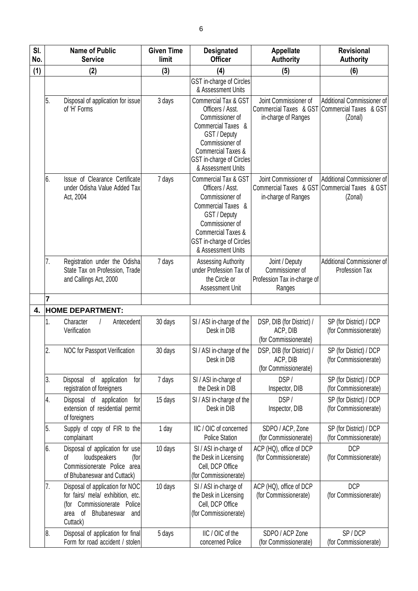| SI.<br>No. |    | <b>Name of Public</b><br><b>Service</b>                                                                                                          | <b>Given Time</b><br>limit | <b>Designated</b><br><b>Officer</b>                                                                                                                                                                                | <b>Appellate</b><br><b>Authority</b>                                       | <b>Revisional</b><br><b>Authority</b>                           |
|------------|----|--------------------------------------------------------------------------------------------------------------------------------------------------|----------------------------|--------------------------------------------------------------------------------------------------------------------------------------------------------------------------------------------------------------------|----------------------------------------------------------------------------|-----------------------------------------------------------------|
| (1)        |    | (2)                                                                                                                                              | (3)                        | (4)                                                                                                                                                                                                                | (5)                                                                        | (6)                                                             |
|            |    |                                                                                                                                                  |                            | GST in-charge of Circles<br>& Assessment Units                                                                                                                                                                     |                                                                            |                                                                 |
|            | 5. | Disposal of application for issue<br>of 'H' Forms                                                                                                | 3 days                     | <b>Commercial Tax &amp; GST</b><br>Officers / Asst.<br>Commissioner of<br>Commercial Taxes &<br>GST / Deputy<br>Commissioner of<br><b>Commercial Taxes &amp;</b><br>GST in-charge of Circles<br>& Assessment Units | Joint Commissioner of<br>Commercial Taxes & GST<br>in-charge of Ranges     | Additional Commissioner of<br>Commercial Taxes & GST<br>(Zonal) |
|            | 6. | Issue of Clearance Certificate<br>under Odisha Value Added Tax<br>Act, 2004                                                                      | 7 days                     | Commercial Tax & GST<br>Officers / Asst.<br>Commissioner of<br>Commercial Taxes &<br>GST / Deputy<br>Commissioner of<br><b>Commercial Taxes &amp;</b><br>GST in-charge of Circles<br>& Assessment Units            | Joint Commissioner of<br>Commercial Taxes & GST<br>in-charge of Ranges     | Additional Commissioner of<br>Commercial Taxes & GST<br>(Zonal) |
|            | 7. | Registration under the Odisha<br>State Tax on Profession, Trade<br>and Callings Act, 2000                                                        | 7 days                     | <b>Assessing Authority</b><br>under Profession Tax of<br>the Circle or<br>Assessment Unit                                                                                                                          | Joint / Deputy<br>Commissioner of<br>Profession Tax in-charge of<br>Ranges | Additional Commissioner of<br>Profession Tax                    |
|            | 7  |                                                                                                                                                  |                            |                                                                                                                                                                                                                    |                                                                            |                                                                 |
| 4.         | 1. | <b>HOME DEPARTMENT:</b><br>Antecedent<br>Character<br>Verification                                                                               | 30 days                    | SI / ASI in-charge of the<br>Desk in DIB                                                                                                                                                                           | DSP, DIB (for District) /<br>ACP, DIB<br>(for Commissionerate)             | SP (for District) / DCP<br>(for Commissionerate)                |
|            | 2. | NOC for Passport Verification                                                                                                                    | 30 days                    | SI / ASI in-charge of the<br>Desk in DIB                                                                                                                                                                           | DSP, DIB (for District) /<br>ACP, DIB<br>(for Commissionerate)             | SP (for District) / DCP<br>(for Commissionerate)                |
|            | 3. | Disposal of<br>application<br>for<br>registration of foreigners                                                                                  | 7 days                     | SI / ASI in-charge of<br>the Desk in DIB                                                                                                                                                                           | DSP/<br>Inspector, DIB                                                     | SP (for District) / DCP<br>(for Commissionerate)                |
|            | 4. | Disposal of application<br>for<br>extension of residential permit<br>of foreigners                                                               | 15 days                    | SI / ASI in-charge of the<br>Desk in DIB                                                                                                                                                                           | DSP/<br>Inspector, DIB                                                     | SP (for District) / DCP<br>(for Commissionerate)                |
|            | 5. | Supply of copy of FIR to the<br>complainant                                                                                                      | 1 day                      | IIC / OIC of concerned<br><b>Police Station</b>                                                                                                                                                                    | SDPO / ACP, Zone<br>(for Commissionerate)                                  | SP (for District) / DCP<br>(for Commissionerate)                |
|            | 6. | Disposal of application for use<br>loudspeakers<br>οf<br>(for<br>Commissionerate Police area<br>of Bhubaneswar and Cuttack)                      | 10 days                    | SI / ASI in-charge of<br>the Desk in Licensing<br>Cell, DCP Office<br>(for Commissionerate)                                                                                                                        | ACP (HQ), office of DCP<br>(for Commissionerate)                           | <b>DCP</b><br>(for Commissionerate)                             |
|            | 7. | Disposal of application for NOC<br>for fairs/ mela/ exhibition, etc.<br>Commissionerate Police<br>(for<br>Bhubaneswar and<br>area of<br>Cuttack) | 10 days                    | SI / ASI in-charge of<br>the Desk in Licensing<br>Cell, DCP Office<br>(for Commissionerate)                                                                                                                        | ACP (HQ), office of DCP<br>(for Commissionerate)                           | <b>DCP</b><br>(for Commissionerate)                             |
|            | 8. | Disposal of application for final<br>Form for road accident / stolen                                                                             | 5 days                     | IIC / OIC of the<br>concerned Police                                                                                                                                                                               | SDPO / ACP Zone<br>(for Commissionerate)                                   | SP/DCP<br>(for Commissionerate)                                 |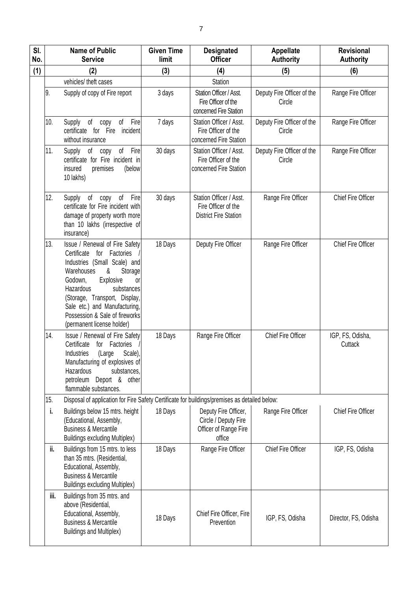| SI.<br>No. | <b>Name of Public</b><br><b>Service</b>                                                                                                                                                                                                                                                                                     | <b>Given Time</b><br>limit | <b>Designated</b><br><b>Officer</b>                                             | <b>Appellate</b><br><b>Authority</b> | <b>Revisional</b><br><b>Authority</b> |
|------------|-----------------------------------------------------------------------------------------------------------------------------------------------------------------------------------------------------------------------------------------------------------------------------------------------------------------------------|----------------------------|---------------------------------------------------------------------------------|--------------------------------------|---------------------------------------|
| (1)        | (2)                                                                                                                                                                                                                                                                                                                         | (3)                        | (4)                                                                             | (5)                                  | (6)                                   |
|            | vehicles/ theft cases                                                                                                                                                                                                                                                                                                       |                            | Station                                                                         |                                      |                                       |
|            | 9.<br>Supply of copy of Fire report                                                                                                                                                                                                                                                                                         | 3 days                     | Station Officer / Asst.<br>Fire Officer of the<br>concerned Fire Station        | Deputy Fire Officer of the<br>Circle | Range Fire Officer                    |
|            | 10.<br>Fire<br>Supply<br>of<br>of<br>copy<br>certificate for Fire<br>incident<br>without insurance                                                                                                                                                                                                                          | 7 days                     | Station Officer / Asst.<br>Fire Officer of the<br>concerned Fire Station        | Deputy Fire Officer of the<br>Circle | Range Fire Officer                    |
|            | 11.<br>Fire<br>of<br>Supply<br>of<br>copy<br>certificate for Fire incident in<br>insured<br>premises<br>(below<br>10 lakhs)                                                                                                                                                                                                 | 30 days                    | Station Officer / Asst.<br>Fire Officer of the<br>concerned Fire Station        | Deputy Fire Officer of the<br>Circle | Range Fire Officer                    |
|            | 12.<br>Fire<br>Supply<br>of<br>of<br>copy<br>certificate for Fire incident with<br>damage of property worth more<br>than 10 lakhs (irrespective of<br>insurance)                                                                                                                                                            | 30 days                    | Station Officer / Asst.<br>Fire Officer of the<br><b>District Fire Station</b>  | Range Fire Officer                   | Chief Fire Officer                    |
|            | 13.<br>Issue / Renewal of Fire Safety<br>Certificate for Factories<br>Industries (Small Scale) and<br>&<br>Storage<br>Warehouses<br>Explosive<br>Godown,<br>or<br>Hazardous<br>substances<br>(Storage, Transport, Display,<br>Sale etc.) and Manufacturing,<br>Possession & Sale of fireworks<br>(permanent license holder) | 18 Days                    | Deputy Fire Officer                                                             | Range Fire Officer                   | Chief Fire Officer                    |
|            | 14.<br>Issue / Renewal of Fire Safety<br>Certificate<br>for Factories<br>Industries<br>Scale),<br>(Large<br>Manufacturing of explosives of<br>Hazardous<br>substances.<br>petroleum Deport & other<br>flammable substances.                                                                                                 | 18 Days                    | Range Fire Officer                                                              | Chief Fire Officer                   | IGP, FS, Odisha,<br>Cuttack           |
|            | Disposal of application for Fire Safety Certificate for buildings/premises as detailed below:<br>15.                                                                                                                                                                                                                        |                            |                                                                                 |                                      |                                       |
|            | i.<br>Buildings below 15 mtrs. height<br>(Educational, Assembly,<br><b>Business &amp; Mercantile</b><br><b>Buildings excluding Multiplex)</b>                                                                                                                                                                               | 18 Days                    | Deputy Fire Officer,<br>Circle / Deputy Fire<br>Officer of Range Fire<br>office | Range Fire Officer                   | Chief Fire Officer                    |
|            | ii.<br>Buildings from 15 mtrs. to less<br>than 35 mtrs. (Residential,<br>Educational, Assembly,<br><b>Business &amp; Mercantile</b><br><b>Buildings excluding Multiplex)</b>                                                                                                                                                | 18 Days                    | Range Fire Officer                                                              | Chief Fire Officer                   | IGP, FS, Odisha                       |
|            | iii.<br>Buildings from 35 mtrs. and<br>above (Residential,<br>Educational, Assembly,<br><b>Business &amp; Mercantile</b><br><b>Buildings and Multiplex)</b>                                                                                                                                                                 | 18 Days                    | Chief Fire Officer, Fire<br>Prevention                                          | IGP, FS, Odisha                      | Director, FS, Odisha                  |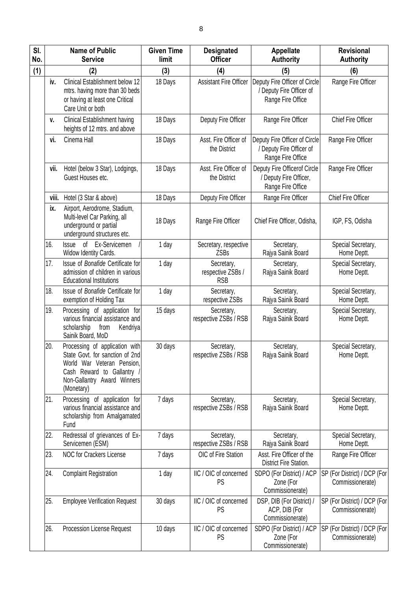| SI.<br>No. | <b>Name of Public</b><br><b>Service</b>                                                                                                                                    | <b>Given Time</b><br>limit | <b>Designated</b><br><b>Officer</b>           | Appellate<br><b>Authority</b>                                                  | <b>Revisional</b><br><b>Authority</b>            |
|------------|----------------------------------------------------------------------------------------------------------------------------------------------------------------------------|----------------------------|-----------------------------------------------|--------------------------------------------------------------------------------|--------------------------------------------------|
| (1)        | (2)                                                                                                                                                                        | (3)                        | (4)                                           | (5)                                                                            | (6)                                              |
| iv.        | Clinical Establishment below 12<br>mtrs. having more than 30 beds<br>or having at least one Critical<br>Care Unit or both                                                  | 18 Days                    | <b>Assistant Fire Officer</b>                 | Deputy Fire Officer of Circle<br>/ Deputy Fire Officer of<br>Range Fire Office | Range Fire Officer                               |
| ٧.         | <b>Clinical Establishment having</b><br>heights of 12 mtrs. and above                                                                                                      | 18 Days                    | Deputy Fire Officer                           | Range Fire Officer                                                             | Chief Fire Officer                               |
| vi.        | Cinema Hall                                                                                                                                                                | 18 Days                    | Asst. Fire Officer of<br>the District         | Deputy Fire Officer of Circle<br>/ Deputy Fire Officer of<br>Range Fire Office | Range Fire Officer                               |
| vii.       | Hotel (below 3 Star), Lodgings,<br>Guest Houses etc.                                                                                                                       | 18 Days                    | Asst. Fire Officer of<br>the District         | Deputy Fire Officerof Circle<br>/ Deputy Fire Officer,<br>Range Fire Office    | Range Fire Officer                               |
| viii.      | Hotel (3 Star & above)                                                                                                                                                     | 18 Days                    | Deputy Fire Officer                           | Range Fire Officer                                                             | Chief Fire Officer                               |
| ix.        | Airport, Aerodrome, Stadium,<br>Multi-level Car Parking, all<br>underground or partial<br>underground structures etc.                                                      | 18 Days                    | Range Fire Officer                            | Chief Fire Officer, Odisha,                                                    | IGP, FS, Odisha                                  |
| 16.        | Ex-Servicemen<br>of<br><b>Issue</b><br>Widow Identity Cards.                                                                                                               | 1 day                      | Secretary, respective<br><b>ZSBs</b>          | Secretary,<br>Rajya Sainik Board                                               | Special Secretary,<br>Home Deptt.                |
| 17.        | Issue of Bonafide Certificate for<br>admission of children in various<br><b>Educational Institutions</b>                                                                   | 1 day                      | Secretary,<br>respective ZSBs /<br><b>RSB</b> | Secretary,<br>Rajya Sainik Board                                               | Special Secretary,<br>Home Deptt.                |
| 18.        | Issue of Bonafide Certificate for<br>exemption of Holding Tax                                                                                                              | 1 day                      | Secretary,<br>respective ZSBs                 | Secretary,<br>Rajya Sainik Board                                               | Special Secretary,<br>Home Deptt.                |
| 19.        | Processing of application for<br>various financial assistance and<br>scholarship<br>Kendriya<br>from<br>Sainik Board, MoD                                                  | 15 days                    | Secretary,<br>respective ZSBs / RSB           | Secretary,<br>Rajya Sainik Board                                               | Special Secretary,<br>Home Deptt.                |
| 20.        | Processing of application with<br>State Govt. for sanction of 2nd<br>World War Veteran Pension,<br>Cash Reward to Gallantry /<br>Non-Gallantry Award Winners<br>(Monetary) | 30 days                    | Secretary,<br>respective ZSBs / RSB           | Secretary,<br>Rajya Sainik Board                                               | Special Secretary,<br>Home Deptt.                |
| 21.        | Processing of application for<br>various financial assistance and<br>scholarship from Amalgamated<br>Fund                                                                  | 7 days                     | Secretary,<br>respective ZSBs / RSB           | Secretary,<br>Rajya Sainik Board                                               | Special Secretary,<br>Home Deptt.                |
| 22.        | Redressal of grievances of Ex-<br>Servicemen (ESM)                                                                                                                         | 7 days                     | Secretary,<br>respective ZSBs / RSB           | Secretary,<br>Rajya Sainik Board                                               | Special Secretary,<br>Home Deptt.                |
| 23.        | <b>NOC for Crackers License</b>                                                                                                                                            | 7 days                     | OIC of Fire Station                           | Asst. Fire Officer of the<br>District Fire Station.                            | Range Fire Officer                               |
| 24.        | <b>Complaint Registration</b>                                                                                                                                              | 1 day                      | IIC / OIC of concerned<br>PS                  | SDPO (For District) / ACP<br>Zone (For<br>Commissionerate)                     | SP (For District) / DCP (For<br>Commissionerate) |
| 25.        | <b>Employee Verification Request</b>                                                                                                                                       | 30 days                    | IIC / OIC of concerned<br>PS                  | DSP, DIB (For District) /<br>ACP, DIB (For<br>Commissionerate)                 | SP (For District) / DCP (For<br>Commissionerate) |
| 26.        | Procession License Request                                                                                                                                                 | 10 days                    | IIC / OIC of concerned<br>PS                  | SDPO (For District) / ACP<br>Zone (For<br>Commissionerate)                     | SP (For District) / DCP (For<br>Commissionerate) |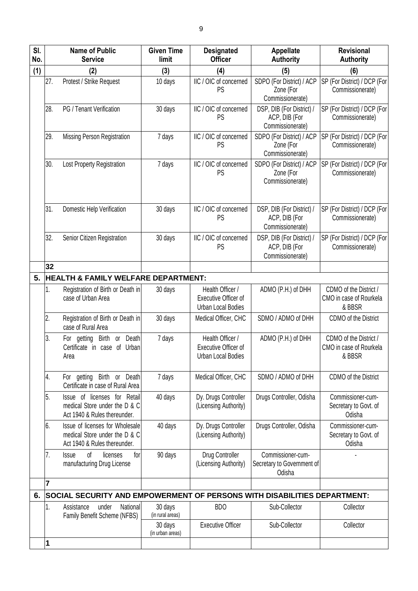| SI.<br>No. |     | <b>Name of Public</b><br><b>Service</b>                                                          | <b>Given Time</b><br>limit  | <b>Designated</b><br><b>Officer</b>                                   | <b>Appellate</b><br><b>Authority</b>                           | <b>Revisional</b><br><b>Authority</b>                       |
|------------|-----|--------------------------------------------------------------------------------------------------|-----------------------------|-----------------------------------------------------------------------|----------------------------------------------------------------|-------------------------------------------------------------|
| (1)        |     | (2)                                                                                              | (3)                         | (4)                                                                   | (5)                                                            | (6)                                                         |
|            | 27. | Protest / Strike Request                                                                         | 10 days                     | IIC / OIC of concerned<br>PS                                          | SDPO (For District) / ACP<br>Zone (For<br>Commissionerate)     | SP (For District) / DCP (For<br>Commissionerate)            |
|            | 28. | PG / Tenant Verification                                                                         | 30 days                     | IIC / OIC of concerned<br>PS                                          | DSP, DIB (For District) /<br>ACP, DIB (For<br>Commissionerate) | SP (For District) / DCP (For<br>Commissionerate)            |
|            | 29. | Missing Person Registration                                                                      | 7 days                      | IIC / OIC of concerned<br>PS                                          | SDPO (For District) / ACP<br>Zone (For<br>Commissionerate)     | SP (For District) / DCP (For<br>Commissionerate)            |
|            | 30. | Lost Property Registration                                                                       | 7 days                      | IIC / OIC of concerned<br>PS                                          | SDPO (For District) / ACP<br>Zone (For<br>Commissionerate)     | SP (For District) / DCP (For<br>Commissionerate)            |
|            | 31. | Domestic Help Verification                                                                       | 30 days                     | IIC / OIC of concerned<br>PS                                          | DSP, DIB (For District) /<br>ACP, DIB (For<br>Commissionerate) | SP (For District) / DCP (For<br>Commissionerate)            |
|            | 32. | Senior Citizen Registration                                                                      | 30 days                     | IIC / OIC of concerned<br>PS                                          | DSP, DIB (For District) /<br>ACP, DIB (For<br>Commissionerate) | SP (For District) / DCP (For<br>Commissionerate)            |
|            | 32  |                                                                                                  |                             |                                                                       |                                                                |                                                             |
| 5.         |     | <b>HEALTH &amp; FAMILY WELFARE DEPARTMENT:</b>                                                   |                             |                                                                       |                                                                |                                                             |
|            | 1.  | Registration of Birth or Death in<br>case of Urban Area                                          | 30 days                     | Health Officer /<br><b>Executive Officer of</b><br>Urban Local Bodies | ADMO (P.H.) of DHH                                             | CDMO of the District /<br>CMO in case of Rourkela<br>& BBSR |
|            | 2.  | Registration of Birth or Death in<br>case of Rural Area                                          | 30 days                     | Medical Officer, CHC                                                  | SDMO / ADMO of DHH                                             | CDMO of the District                                        |
|            | 3.  | For getting Birth or Death<br>Certificate in case of Urban<br>Area                               | 7 days                      | Health Officer /<br>Executive Officer of<br>Urban Local Bodies        | ADMO (P.H.) of DHH                                             | CDMO of the District /<br>CMO in case of Rourkela<br>& BBSR |
|            | 4.  | For getting Birth or Death<br>Certificate in case of Rural Area                                  | 7 days                      | Medical Officer, CHC                                                  | SDMO / ADMO of DHH                                             | CDMO of the District                                        |
|            | 5.  | Issue of licenses for Retail<br>medical Store under the D & C<br>Act 1940 & Rules thereunder.    | 40 days                     | Dy. Drugs Controller<br>(Licensing Authority)                         | Drugs Controller, Odisha                                       | Commissioner-cum-<br>Secretary to Govt. of<br>Odisha        |
|            | 6.  | Issue of licenses for Wholesale<br>medical Store under the D & C<br>Act 1940 & Rules thereunder. | 40 days                     | Dy. Drugs Controller<br>(Licensing Authority)                         | Drugs Controller, Odisha                                       | Commissioner-cum-<br>Secretary to Govt. of<br>Odisha        |
|            | 7.  | of<br>licenses<br>for<br><b>Issue</b><br>manufacturing Drug License                              | 90 days                     | Drug Controller<br>(Licensing Authority)                              | Commissioner-cum-<br>Secretary to Government of<br>Odisha      |                                                             |
|            | 7   |                                                                                                  |                             |                                                                       |                                                                |                                                             |
| 6.         |     | SOCIAL SECURITY AND EMPOWERMENT OF PERSONS WITH DISABILITIES DEPARTMENT:                         |                             |                                                                       |                                                                |                                                             |
|            | 1.  | National<br>Assistance<br>under<br>Family Benefit Scheme (NFBS)                                  | 30 days<br>(in rural areas) | <b>BDO</b>                                                            | Sub-Collector                                                  | Collector                                                   |
|            |     |                                                                                                  | 30 days<br>(in urban areas) | <b>Executive Officer</b>                                              | Sub-Collector                                                  | Collector                                                   |
|            | 1   |                                                                                                  |                             |                                                                       |                                                                |                                                             |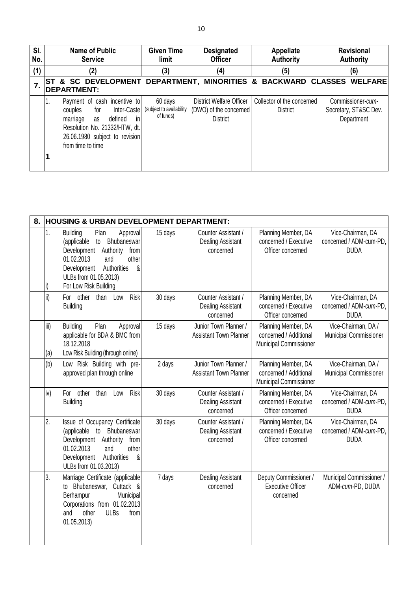| SI.<br>No. | <b>Name of Public</b><br><b>Service</b>                                                                                                                                                  | <b>Given Time</b><br>limit                       | <b>Designated</b><br><b>Officer</b>                                   | <b>Appellate</b><br><b>Authority</b>          | <b>Revisional</b><br><b>Authority</b>                    |
|------------|------------------------------------------------------------------------------------------------------------------------------------------------------------------------------------------|--------------------------------------------------|-----------------------------------------------------------------------|-----------------------------------------------|----------------------------------------------------------|
| (1)        | (2)                                                                                                                                                                                      | (3)                                              | (4)                                                                   | (5)                                           | (6)                                                      |
| 7.         | ST & SC DEVELOPMENT DEPARTMENT, MINORITIES & BACKWARD CLASSES WELFARE<br><b>DEPARTMENT:</b>                                                                                              |                                                  |                                                                       |                                               |                                                          |
|            | Payment of cash incentive to<br>1.<br>couples for<br>Inter-Caste<br>in<br>defined<br>marriage as<br>Resolution No. 21332/HTW, dt.<br>26.06.1980 subject to revision<br>from time to time | 60 days<br>(subject to availability<br>of funds) | District Welfare Officer<br>(DWO) of the concerned<br><b>District</b> | Collector of the concerned<br><b>District</b> | Commissioner-cum-<br>Secretary, ST&SC Dev.<br>Department |
|            |                                                                                                                                                                                          |                                                  |                                                                       |                                               |                                                          |

| 8. |             | <b>HOUSING &amp; URBAN DEVELOPMENT DEPARTMENT:</b>                                                                                                                                                                             |         |                                                              |                                                                         |                                                             |
|----|-------------|--------------------------------------------------------------------------------------------------------------------------------------------------------------------------------------------------------------------------------|---------|--------------------------------------------------------------|-------------------------------------------------------------------------|-------------------------------------------------------------|
|    | 1.          | <b>Building</b><br>Plan<br>Approval<br>(applicable<br>Bhubaneswar<br>to<br>Development<br>Authority<br>from<br>01.02.2013<br>and<br>other<br>Authorities<br>Development<br>&<br>ULBs from 01.05.2013)<br>For Low Risk Building | 15 days | Counter Assistant /<br><b>Dealing Assistant</b><br>concerned | Planning Member, DA<br>concerned / Executive<br>Officer concerned       | Vice-Chairman, DA<br>concerned / ADM-cum-PD,<br><b>DUDA</b> |
|    | ii)         | Risk<br>For other<br>than<br>Low<br><b>Building</b>                                                                                                                                                                            | 30 days | Counter Assistant /<br><b>Dealing Assistant</b><br>concerned | Planning Member, DA<br>concerned / Executive<br>Officer concerned       | Vice-Chairman, DA<br>concerned / ADM-cum-PD,<br><b>DUDA</b> |
|    | iii)<br>(a) | Plan<br><b>Building</b><br>Approval<br>applicable for BDA & BMC from<br>18.12.2018<br>Low Risk Building (through online)                                                                                                       | 15 days | Junior Town Planner /<br><b>Assistant Town Planner</b>       | Planning Member, DA<br>concerned / Additional<br>Municipal Commissioner | Vice-Chairman, DA /<br>Municipal Commissioner               |
|    | (b)         | Low Risk Building with pre-<br>approved plan through online                                                                                                                                                                    | 2 days  | Junior Town Planner /<br><b>Assistant Town Planner</b>       | Planning Member, DA<br>concerned / Additional<br>Municipal Commissioner | Vice-Chairman, DA /<br>Municipal Commissioner               |
|    | iv)         | Risk<br>For other<br>than<br>Low<br><b>Building</b>                                                                                                                                                                            | 30 days | Counter Assistant /<br><b>Dealing Assistant</b><br>concerned | Planning Member, DA<br>concerned / Executive<br>Officer concerned       | Vice-Chairman, DA<br>concerned / ADM-cum-PD,<br><b>DUDA</b> |
|    | 2.          | Issue of Occupancy Certificate<br>(applicable to<br>Bhubaneswar<br>Development Authority<br>from<br>01.02.2013<br>and<br>other<br>Authorities<br>&<br>Development<br>ULBs from 01.03.2013)                                     | 30 days | Counter Assistant /<br><b>Dealing Assistant</b><br>concerned | Planning Member, DA<br>concerned / Executive<br>Officer concerned       | Vice-Chairman, DA<br>concerned / ADM-cum-PD,<br><b>DUDA</b> |
|    | 3.          | Marriage Certificate (applicable<br>Bhubaneswar, Cuttack &<br>to<br>Berhampur<br>Municipal<br>Corporations from 01.02.2013<br>other<br><b>ULBs</b><br>and<br>from<br>01.05.2013)                                               | 7 days  | <b>Dealing Assistant</b><br>concerned                        | Deputy Commissioner /<br><b>Executive Officer</b><br>concerned          | Municipal Commissioner /<br>ADM-cum-PD, DUDA                |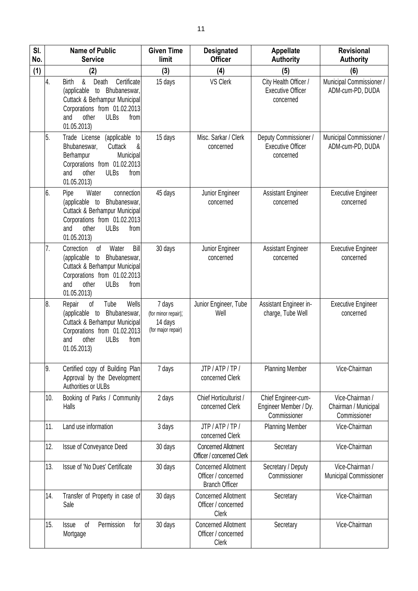| SI.<br>No. |     | <b>Name of Public</b><br><b>Service</b>                                                                                                                                                     | <b>Given Time</b><br>limit                                     | <b>Designated</b><br><b>Officer</b>                                        | <b>Appellate</b><br><b>Authority</b>                           | Revisional<br><b>Authority</b>                          |
|------------|-----|---------------------------------------------------------------------------------------------------------------------------------------------------------------------------------------------|----------------------------------------------------------------|----------------------------------------------------------------------------|----------------------------------------------------------------|---------------------------------------------------------|
| (1)        |     | (2)                                                                                                                                                                                         | (3)                                                            | (4)                                                                        | (5)                                                            | (6)                                                     |
|            | 4.  | &<br>Certificate<br><b>Birth</b><br>Death<br>(applicable<br>to Bhubaneswar,<br>Cuttack & Berhampur Municipal<br>Corporations from 01.02.2013<br>other<br>ULBs<br>from<br>and<br>01.05.2013) | 15 days                                                        | <b>VS Clerk</b>                                                            | City Health Officer /<br><b>Executive Officer</b><br>concerned | Municipal Commissioner /<br>ADM-cum-PD, DUDA            |
|            | 5.  | (applicable to<br>Trade License<br>&<br>Cuttack<br>Bhubaneswar,<br>Berhampur<br>Municipal<br>Corporations from 01.02.2013<br><b>ULBs</b><br>and<br>other<br>from<br>01.05.2013)             | 15 days                                                        | Misc. Sarkar / Clerk<br>concerned                                          | Deputy Commissioner /<br><b>Executive Officer</b><br>concerned | Municipal Commissioner /<br>ADM-cum-PD, DUDA            |
|            | 6.  | Water<br>connection<br>Pipe<br>(applicable to<br>Bhubaneswar,<br>Cuttack & Berhampur Municipal<br>Corporations from 01.02.2013<br><b>ULBs</b><br>and<br>other<br>from<br>01.05.2013)        | 45 days                                                        | Junior Engineer<br>concerned                                               | <b>Assistant Engineer</b><br>concerned                         | <b>Executive Engineer</b><br>concerned                  |
|            | 7.  | Bill<br>Correction<br>of<br>Water<br>(applicable to Bhubaneswar,<br>Cuttack & Berhampur Municipal<br>Corporations from 01.02.2013<br><b>ULBs</b><br>and<br>other<br>from<br>01.05.2013)     | 30 days                                                        | Junior Engineer<br>concerned                                               | <b>Assistant Engineer</b><br>concerned                         | <b>Executive Engineer</b><br>concerned                  |
|            | 8.  | Tube<br>Wells<br>Repair<br>of<br>Bhubaneswar,<br>(applicable to<br>Cuttack & Berhampur Municipal<br>Corporations from 01.02.2013<br><b>ULBs</b><br>from<br>other<br>and<br>01.05.2013)      | 7 days<br>(for minor repair);<br>14 days<br>(for major repair) | Junior Engineer, Tube<br>Well                                              | Assistant Engineer in-<br>charge, Tube Well                    | <b>Executive Engineer</b><br>concerned                  |
|            | 9.  | Certified copy of Building Plan<br>Approval by the Development<br>Authorities or ULBs                                                                                                       | 7 days                                                         | JTP / ATP / TP /<br>concerned Clerk                                        | <b>Planning Member</b>                                         | Vice-Chairman                                           |
|            | 10. | Booking of Parks / Community<br>Halls                                                                                                                                                       | 2 days                                                         | Chief Horticulturist /<br>concerned Clerk                                  | Chief Engineer-cum-<br>Engineer Member / Dy.<br>Commissioner   | Vice-Chairman /<br>Chairman / Municipal<br>Commissioner |
|            | 11. | Land use information                                                                                                                                                                        | 3 days                                                         | JTP / ATP / TP /<br>concerned Clerk                                        | <b>Planning Member</b>                                         | Vice-Chairman                                           |
|            | 12. | Issue of Conveyance Deed                                                                                                                                                                    | 30 days                                                        | <b>Concerned Allotment</b><br>Officer / concerned Clerk                    | Secretary                                                      | Vice-Chairman                                           |
|            | 13. | Issue of 'No Dues' Certificate                                                                                                                                                              | 30 days                                                        | <b>Concerned Allotment</b><br>Officer / concerned<br><b>Branch Officer</b> | Secretary / Deputy<br>Commissioner                             | Vice-Chairman /<br>Municipal Commissioner               |
|            | 14. | Transfer of Property in case of<br>Sale                                                                                                                                                     | 30 days                                                        | <b>Concerned Allotment</b><br>Officer / concerned<br>Clerk                 | Secretary                                                      | Vice-Chairman                                           |
|            | 15. | of<br>Permission<br>for<br><b>Issue</b><br>Mortgage                                                                                                                                         | 30 days                                                        | <b>Concerned Allotment</b><br>Officer / concerned<br>Clerk                 | Secretary                                                      | Vice-Chairman                                           |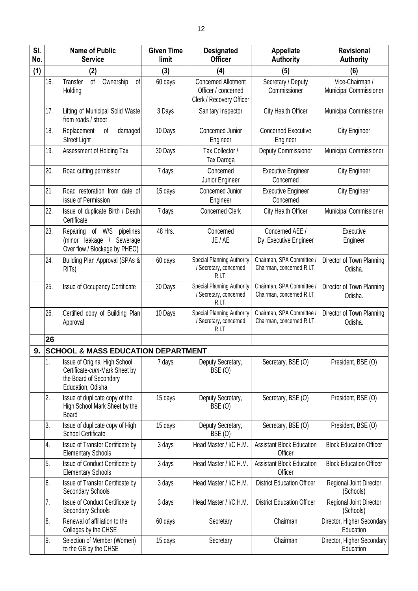| SI.<br>No. |     | <b>Name of Public</b><br><b>Service</b>                                                                       | <b>Given Time</b><br>limit | <b>Designated</b><br><b>Officer</b>                                           | <b>Appellate</b><br><b>Authority</b>                    | <b>Revisional</b><br><b>Authority</b>     |
|------------|-----|---------------------------------------------------------------------------------------------------------------|----------------------------|-------------------------------------------------------------------------------|---------------------------------------------------------|-------------------------------------------|
| (1)        |     | (2)                                                                                                           | (3)                        | (4)                                                                           | (5)                                                     | (6)                                       |
|            | 16. | of<br>Transfer<br>Ownership<br>0f<br>Holding                                                                  | 60 days                    | <b>Concerned Allotment</b><br>Officer / concerned<br>Clerk / Recovery Officer | Secretary / Deputy<br>Commissioner                      | Vice-Chairman /<br>Municipal Commissioner |
|            | 17. | Lifting of Municipal Solid Waste<br>from roads / street                                                       | 3 Days                     | Sanitary Inspector                                                            | City Health Officer                                     | Municipal Commissioner                    |
|            | 18. | Replacement<br>of<br>damaged<br><b>Street Light</b>                                                           | 10 Days                    | Concerned Junior<br>Engineer                                                  | <b>Concerned Executive</b><br>Engineer                  | <b>City Engineer</b>                      |
|            | 19. | Assessment of Holding Tax                                                                                     | 30 Days                    | Tax Collector /<br>Tax Daroga                                                 | <b>Deputy Commissioner</b>                              | Municipal Commissioner                    |
|            | 20. | Road cutting permission                                                                                       | 7 days                     | Concerned<br>Junior Engineer                                                  | <b>Executive Engineer</b><br>Concerned                  | <b>City Engineer</b>                      |
|            | 21. | Road restoration from date of<br>issue of Permission                                                          | 15 days                    | Concerned Junior<br>Engineer                                                  | <b>Executive Engineer</b><br>Concerned                  | <b>City Engineer</b>                      |
|            | 22. | Issue of duplicate Birth / Death<br>Certificate                                                               | 7 days                     | <b>Concerned Clerk</b>                                                        | City Health Officer                                     | Municipal Commissioner                    |
|            | 23. | Repairing<br>of W/S<br>pipelines<br>Sewerage<br>(minor leakage /<br>Over flow / Blockage by PHEO)             | 48 Hrs.                    | Concerned<br>JE / AE                                                          | Concerned AEE /<br>Dy. Executive Engineer               | Executive<br>Engineer                     |
|            | 24. | Building Plan Approval (SPAs &<br>RIT <sub>s</sub> )                                                          | 60 days                    | Special Planning Authority<br>/ Secretary, concerned<br>R.I.T.                | Chairman, SPA Committee /<br>Chairman, concerned R.I.T. | Director of Town Planning,<br>Odisha.     |
|            | 25. | <b>Issue of Occupancy Certificate</b>                                                                         | 30 Days                    | Special Planning Authority<br>/ Secretary, concerned<br>R.I.T.                | Chairman, SPA Committee /<br>Chairman, concerned R.I.T. | Director of Town Planning,<br>Odisha.     |
|            | 26. | Certified copy of Building Plan<br>Approval                                                                   | 10 Days                    | Special Planning Authority<br>/ Secretary, concerned<br>R.I.T.                | Chairman, SPA Committee /<br>Chairman, concerned R.I.T. | Director of Town Planning,<br>Odisha.     |
|            | 26  |                                                                                                               |                            |                                                                               |                                                         |                                           |
| 9.         |     | <b>SCHOOL &amp; MASS EDUCATION DEPARTMENT</b>                                                                 |                            |                                                                               |                                                         |                                           |
|            | 1.  | Issue of Original High School<br>Certificate-cum-Mark Sheet by<br>the Board of Secondary<br>Education, Odisha | 7 days                     | Deputy Secretary,<br><b>BSE (0)</b>                                           | Secretary, BSE (O)                                      | President, BSE (O)                        |
|            | 2.  | Issue of duplicate copy of the<br>High School Mark Sheet by the<br><b>Board</b>                               | 15 days                    | Deputy Secretary,<br>BSE (O)                                                  | Secretary, BSE (O)                                      | President, BSE (O)                        |
|            | 3.  | Issue of duplicate copy of High<br><b>School Certificate</b>                                                  | 15 days                    | Deputy Secretary,<br><b>BSE (0)</b>                                           | Secretary, BSE (O)                                      | President, BSE (O)                        |
|            | 4.  | Issue of Transfer Certificate by<br><b>Elementary Schools</b>                                                 | 3 days                     | Head Master / I/C H.M.                                                        | <b>Assistant Block Education</b><br>Officer             | <b>Block Education Officer</b>            |
|            | 5.  | Issue of Conduct Certificate by<br><b>Elementary Schools</b>                                                  | 3 days                     | Head Master / I/C H.M.                                                        | <b>Assistant Block Education</b><br>Officer             | <b>Block Education Officer</b>            |
|            | 6.  | Issue of Transfer Certificate by<br>Secondary Schools                                                         | 3 days                     | Head Master / I/C.H.M.                                                        | <b>District Education Officer</b>                       | Regional Joint Director<br>(Schools)      |
|            | 7.  | Issue of Conduct Certificate by<br>Secondary Schools                                                          | 3 days                     | Head Master / I/C.H.M.                                                        | <b>District Education Officer</b>                       | Regional Joint Director<br>(Schools)      |
|            | 8.  | Renewal of affiliation to the<br>Colleges by the CHSE                                                         | 60 days                    | Secretary                                                                     | Chairman                                                | Director, Higher Secondary<br>Education   |
|            | 9.  | Selection of Member (Women)<br>to the GB by the CHSE                                                          | 15 days                    | Secretary                                                                     | Chairman                                                | Director, Higher Secondary<br>Education   |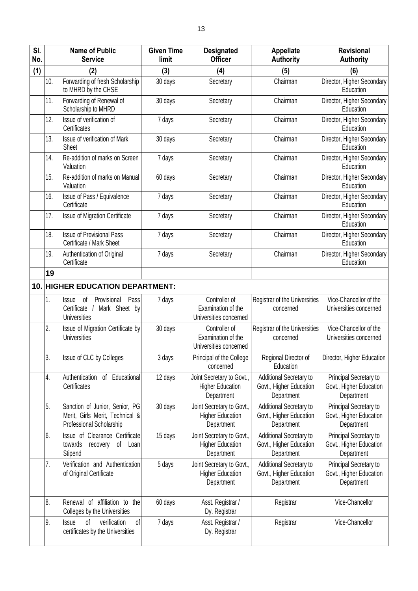| SI.<br>No. |     | <b>Name of Public</b><br><b>Service</b>                                                          | <b>Given Time</b><br>limit | <b>Designated</b><br><b>Officer</b>                                | <b>Appellate</b><br><b>Authority</b>                                    | <b>Revisional</b><br><b>Authority</b>                           |
|------------|-----|--------------------------------------------------------------------------------------------------|----------------------------|--------------------------------------------------------------------|-------------------------------------------------------------------------|-----------------------------------------------------------------|
| (1)        |     | (2)                                                                                              | (3)                        | (4)                                                                | (5)                                                                     | (6)                                                             |
|            | 10. | Forwarding of fresh Scholarship<br>to MHRD by the CHSE                                           | 30 days                    | Secretary                                                          | Chairman                                                                | Director, Higher Secondary<br>Education                         |
|            | 11. | Forwarding of Renewal of<br>Scholarship to MHRD                                                  | 30 days                    | Secretary                                                          | Chairman                                                                | Director, Higher Secondary<br>Education                         |
|            | 12. | Issue of verification of<br>Certificates                                                         | 7 days                     | Secretary                                                          | Chairman                                                                | Director, Higher Secondary<br>Education                         |
|            | 13. | Issue of verification of Mark<br><b>Sheet</b>                                                    | 30 days                    | Secretary                                                          | Chairman                                                                | Director, Higher Secondary<br>Education                         |
|            | 14. | Re-addition of marks on Screen<br>Valuation                                                      | 7 days                     | Secretary                                                          | Chairman                                                                | Director, Higher Secondary<br>Education                         |
|            | 15. | Re-addition of marks on Manual<br>Valuation                                                      | 60 days                    | Secretary                                                          | Chairman                                                                | Director, Higher Secondary<br>Education                         |
|            | 16. | Issue of Pass / Equivalence<br>Certificate                                                       | 7 days                     | Secretary                                                          | Chairman                                                                | Director, Higher Secondary<br>Education                         |
|            | 17. | <b>Issue of Migration Certificate</b>                                                            | 7 days                     | Secretary                                                          | Chairman                                                                | Director, Higher Secondary<br>Education                         |
|            | 18. | <b>Issue of Provisional Pass</b><br>Certificate / Mark Sheet                                     | 7 days                     | Secretary                                                          | Chairman                                                                | Director, Higher Secondary<br>Education                         |
|            | 19. | Authentication of Original<br>Certificate                                                        | 7 days                     | Secretary                                                          | Chairman                                                                | Director, Higher Secondary<br>Education                         |
|            | 19  |                                                                                                  |                            |                                                                    |                                                                         |                                                                 |
|            |     | 10. HIGHER EDUCATION DEPARTMENT:                                                                 |                            |                                                                    |                                                                         |                                                                 |
|            | 1.  | Pass<br>Provisional<br>0f<br><b>Issue</b><br>Certificate<br>Mark Sheet by<br><b>Universities</b> | 7 days                     | Controller of<br>Examination of the<br>Universities concerned      | Registrar of the Universities<br>concerned                              | Vice-Chancellor of the<br>Universities concerned                |
|            | 2.  | Issue of Migration Certificate by<br><b>Universities</b>                                         | 30 days                    | Controller of<br>Examination of the<br>Universities concerned      | Registrar of the Universities<br>concerned                              | Vice-Chancellor of the<br>Universities concerned                |
|            | 3.  | Issue of CLC by Colleges                                                                         | 3 days                     | Principal of the College<br>concerned                              | Regional Director of<br>Education                                       | Director, Higher Education                                      |
|            | 4.  | Authentication<br>Educational<br>οf<br>Certificates                                              | 12 days                    | Joint Secretary to Govt.,<br><b>Higher Education</b><br>Department | Additional Secretary to<br>Govt., Higher Education<br>Department        | Principal Secretary to<br>Govt., Higher Education<br>Department |
|            | 5.  | Sanction of Junior, Senior, PG<br>Merit, Girls Merit, Technical &<br>Professional Scholarship    | 30 days                    | Joint Secretary to Govt.,<br><b>Higher Education</b><br>Department | Additional Secretary to<br>Govt., Higher Education<br>Department        | Principal Secretary to<br>Govt., Higher Education<br>Department |
|            | 6.  | Issue of Clearance Certificate<br>of<br>towards<br>recovery<br>Loan<br>Stipend                   | 15 days                    | Joint Secretary to Govt.,<br><b>Higher Education</b><br>Department | Additional Secretary to<br>Govt., Higher Education<br>Department        | Principal Secretary to<br>Govt., Higher Education<br>Department |
|            | 7.  | Verification and Authentication<br>of Original Certificate                                       | 5 days                     | Joint Secretary to Govt.,<br><b>Higher Education</b><br>Department | <b>Additional Secretary to</b><br>Govt., Higher Education<br>Department | Principal Secretary to<br>Govt., Higher Education<br>Department |
|            | 8.  | Renewal of affiliation to<br>the<br>Colleges by the Universities                                 | 60 days                    | Asst. Registrar /<br>Dy. Registrar                                 | Registrar                                                               | Vice-Chancellor                                                 |
|            | 9.  | verification<br><b>Issue</b><br>οf<br>of<br>certificates by the Universities                     | 7 days                     | Asst. Registrar /<br>Dy. Registrar                                 | Registrar                                                               | Vice-Chancellor                                                 |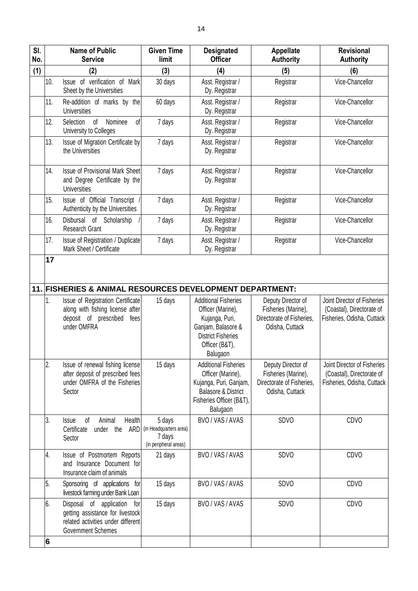| SI.<br>No. |     | <b>Name of Public</b><br><b>Service</b>                                                                                                                                           | <b>Given Time</b><br>limit                                          | <b>Designated</b><br><b>Officer</b>                                                                                                                  | <b>Appellate</b><br><b>Authority</b>                                                      | <b>Revisional</b><br><b>Authority</b>                                                  |
|------------|-----|-----------------------------------------------------------------------------------------------------------------------------------------------------------------------------------|---------------------------------------------------------------------|------------------------------------------------------------------------------------------------------------------------------------------------------|-------------------------------------------------------------------------------------------|----------------------------------------------------------------------------------------|
| (1)        |     | (2)                                                                                                                                                                               | (3)                                                                 | (4)                                                                                                                                                  | (5)                                                                                       | (6)                                                                                    |
|            | 10. | Issue of verification of<br>Mark<br>Sheet by the Universities                                                                                                                     | 30 days                                                             | Asst. Registrar /<br>Dy. Registrar                                                                                                                   | Registrar                                                                                 | Vice-Chancellor                                                                        |
|            | 11. | Re-addition of marks by the<br><b>Universities</b>                                                                                                                                | 60 days                                                             | Asst. Registrar /<br>Dy. Registrar                                                                                                                   | Registrar                                                                                 | Vice-Chancellor                                                                        |
|            | 12. | of<br>Nominee<br>Selection<br>of<br>University to Colleges                                                                                                                        | 7 days                                                              | Asst. Registrar /<br>Dy. Registrar                                                                                                                   | Registrar                                                                                 | Vice-Chancellor                                                                        |
|            | 13. | Issue of Migration Certificate by<br>the Universities                                                                                                                             | 7 days                                                              | Asst. Registrar /<br>Dy. Registrar                                                                                                                   | Registrar                                                                                 | Vice-Chancellor                                                                        |
|            | 14. | <b>Issue of Provisional Mark Sheet</b><br>and Degree Certificate by the<br><b>Universities</b>                                                                                    | 7 days                                                              | Asst. Registrar /<br>Dy. Registrar                                                                                                                   | Registrar                                                                                 | Vice-Chancellor                                                                        |
|            | 15. | Issue of Official Transcript<br>Authenticity by the Universities                                                                                                                  | 7 days                                                              | Asst. Registrar /<br>Dy. Registrar                                                                                                                   | Registrar                                                                                 | Vice-Chancellor                                                                        |
|            | 16. | Disbursal of<br>Scholarship<br><b>Research Grant</b>                                                                                                                              | 7 days                                                              | Asst. Registrar /<br>Dy. Registrar                                                                                                                   | Registrar                                                                                 | Vice-Chancellor                                                                        |
|            | 17. | Issue of Registration / Duplicate<br>Mark Sheet / Certificate                                                                                                                     | 7 days                                                              | Asst. Registrar /<br>Dy. Registrar                                                                                                                   | Registrar                                                                                 | Vice-Chancellor                                                                        |
|            | 1.  | 11. FISHERIES & ANIMAL RESOURCES DEVELOPMENT DEPARTMENT:<br>Issue of Registration Certificate<br>along with fishing license after<br>deposit of prescribed<br>fees<br>under OMFRA | 15 days                                                             | <b>Additional Fisheries</b><br>Officer (Marine),<br>Kujanga, Puri,<br>Ganjam, Balasore &<br><b>District Fisheries</b><br>Officer (B&T),<br>Balugaon  | Deputy Director of<br>Fisheries (Marine),<br>Directorate of Fisheries.<br>Odisha, Cuttack | Joint Director of Fisheries<br>(Coastal), Directorate of<br>Fisheries, Odisha, Cuttack |
|            | 2.  | Issue of renewal fishing license<br>after deposit of prescribed fees<br>under OMFRA of the Fisheries<br>Sector                                                                    | 15 days                                                             | <b>Additional Fisheries</b><br>Officer (Marine),<br>Kujanga, Puri, Ganjam,<br><b>Balasore &amp; District</b><br>Fisheries Officer (B&T),<br>Balugaon | Deputy Director of<br>Fisheries (Marine),<br>Directorate of Fisheries.<br>Odisha, Cuttack | Joint Director of Fisheries<br>(Coastal), Directorate of<br>Fisheries, Odisha, Cuttack |
|            | 3.  | of<br>Health<br>Animal<br><b>Issue</b><br>ARD<br>Certificate<br>under the<br>Sector                                                                                               | 5 days<br>(in Headquarters area)<br>7 days<br>(in peripheral areas) | BVO / VAS / AVAS                                                                                                                                     | SDVO                                                                                      | CDVO                                                                                   |
|            | 4.  | Issue of Postmortem Reports<br>and Insurance Document for<br>Insurance claim of animals                                                                                           | 21 days                                                             | BVO / VAS / AVAS                                                                                                                                     | SDVO                                                                                      | CDVO                                                                                   |
|            | 5.  | Sponsoring of applications for<br>livestock farming under Bank Loan                                                                                                               | 15 days                                                             | BVO / VAS / AVAS                                                                                                                                     | SDVO                                                                                      | CDVO                                                                                   |
|            | 6.  | of application<br>Disposal<br>for<br>getting assistance for livestock<br>related activities under different<br><b>Government Schemes</b>                                          | 15 days                                                             | BVO / VAS / AVAS                                                                                                                                     | SDVO                                                                                      | CDVO                                                                                   |
|            | 6   |                                                                                                                                                                                   |                                                                     |                                                                                                                                                      |                                                                                           |                                                                                        |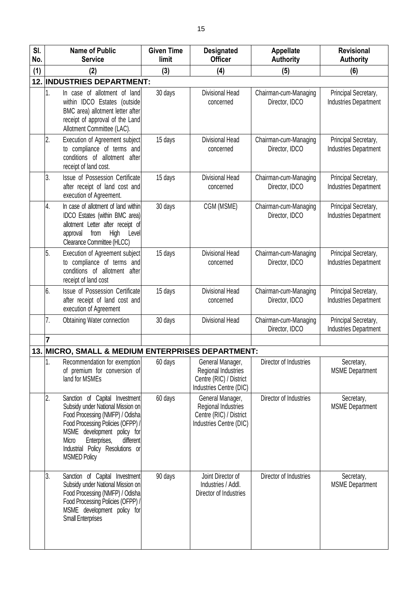| SI.<br>No. | <b>Name of Public</b><br><b>Service</b>                                                                                                                                                                                                                                           | <b>Given Time</b><br>limit | <b>Designated</b><br><b>Officer</b>                                                           | <b>Appellate</b><br><b>Authority</b>    | <b>Revisional</b><br><b>Authority</b>                |
|------------|-----------------------------------------------------------------------------------------------------------------------------------------------------------------------------------------------------------------------------------------------------------------------------------|----------------------------|-----------------------------------------------------------------------------------------------|-----------------------------------------|------------------------------------------------------|
| (1)        | (2)                                                                                                                                                                                                                                                                               | (3)                        | (4)                                                                                           | (5)                                     | (6)                                                  |
|            | 12. INDUSTRIES DEPARTMENT:                                                                                                                                                                                                                                                        |                            |                                                                                               |                                         |                                                      |
|            | 1.<br>In case of allotment of land<br>within IDCO Estates (outside<br>BMC area) allotment letter after<br>receipt of approval of the Land<br>Allotment Committee (LAC).                                                                                                           | 30 days                    | <b>Divisional Head</b><br>concerned                                                           | Chairman-cum-Managing<br>Director, IDCO | Principal Secretary,<br><b>Industries Department</b> |
|            | Execution of Agreement subject<br>2.<br>to compliance of terms and<br>conditions of allotment after<br>receipt of land cost.                                                                                                                                                      | 15 days                    | Divisional Head<br>concerned                                                                  | Chairman-cum-Managing<br>Director, IDCO | Principal Secretary,<br><b>Industries Department</b> |
|            | Issue of Possession Certificate<br>3.<br>after receipt of land cost and<br>execution of Agreement.                                                                                                                                                                                | 15 days                    | Divisional Head<br>concerned                                                                  | Chairman-cum-Managing<br>Director, IDCO | Principal Secretary,<br><b>Industries Department</b> |
|            | 4.<br>In case of allotment of land within<br>IDCO Estates (within BMC area)<br>allotment Letter after receipt of<br>High<br>from<br>Level<br>approval<br>Clearance Committee (HLCC)                                                                                               | 30 days                    | CGM (MSME)                                                                                    | Chairman-cum-Managing<br>Director, IDCO | Principal Secretary,<br><b>Industries Department</b> |
|            | 5.<br>Execution of Agreement subject<br>to compliance of terms and<br>conditions of allotment after<br>receipt of land cost                                                                                                                                                       | 15 days                    | Divisional Head<br>concerned                                                                  | Chairman-cum-Managing<br>Director, IDCO | Principal Secretary,<br>Industries Department        |
|            | 6.<br>Issue of Possession Certificate<br>after receipt of land cost and<br>execution of Agreement                                                                                                                                                                                 | 15 days                    | Divisional Head<br>concerned                                                                  | Chairman-cum-Managing<br>Director, IDCO | Principal Secretary,<br><b>Industries Department</b> |
|            | 7.<br>Obtaining Water connection                                                                                                                                                                                                                                                  | 30 days                    | Divisional Head                                                                               | Chairman-cum-Managing<br>Director, IDCO | Principal Secretary,<br><b>Industries Department</b> |
|            | $\overline{7}$                                                                                                                                                                                                                                                                    |                            |                                                                                               |                                         |                                                      |
|            | 13. MICRO, SMALL & MEDIUM ENTERPRISES DEPARTMENT:                                                                                                                                                                                                                                 |                            |                                                                                               |                                         |                                                      |
|            | Recommendation for exemption<br>1.<br>of premium for conversion of<br>land for MSMEs                                                                                                                                                                                              | 60 days                    | General Manager,<br>Regional Industries<br>Centre (RIC) / District<br>Industries Centre (DIC) | Director of Industries                  | Secretary,<br><b>MSME Department</b>                 |
|            | 2.<br>Sanction of Capital Investment<br>Subsidy under National Mission on<br>Food Processing (NMFP) / Odisha<br>Food Processing Policies (OFPP) /<br>MSME development policy for<br>Enterprises,<br>different<br>Micro<br>Industrial Policy Resolutions or<br><b>MSMED Policy</b> | 60 days                    | General Manager,<br>Regional Industries<br>Centre (RIC) / District<br>Industries Centre (DIC) | Director of Industries                  | Secretary,<br><b>MSME Department</b>                 |
|            | 3.<br>Sanction of Capital Investment<br>Subsidy under National Mission on<br>Food Processing (NMFP) / Odisha<br>Food Processing Policies (OFPP) /<br>MSME development policy for<br><b>Small Enterprises</b>                                                                      | 90 days                    | Joint Director of<br>Industries / Addl.<br>Director of Industries                             | Director of Industries                  | Secretary,<br><b>MSME</b> Department                 |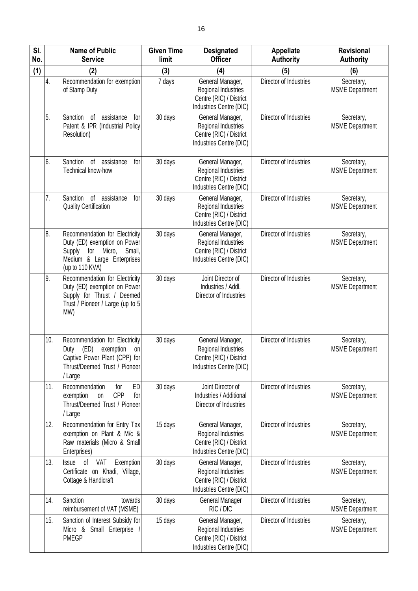| SI.<br>No. |     | <b>Name of Public</b><br><b>Service</b>                                                                                                           | <b>Given Time</b><br>limit | <b>Designated</b><br><b>Officer</b>                                                           | <b>Appellate</b><br><b>Authority</b> | <b>Revisional</b><br><b>Authority</b> |
|------------|-----|---------------------------------------------------------------------------------------------------------------------------------------------------|----------------------------|-----------------------------------------------------------------------------------------------|--------------------------------------|---------------------------------------|
| (1)        |     | (2)                                                                                                                                               | (3)                        | (4)                                                                                           | (5)                                  | (6)                                   |
|            | 4.  | Recommendation for exemption<br>of Stamp Duty                                                                                                     | 7 days                     | General Manager,<br>Regional Industries<br>Centre (RIC) / District<br>Industries Centre (DIC) | Director of Industries               | Secretary,<br><b>MSME</b> Department  |
|            | 5.  | Sanction<br>of<br>assistance<br>for<br>Patent & IPR (Industrial Policy<br>Resolution)                                                             | 30 days                    | General Manager,<br>Regional Industries<br>Centre (RIC) / District<br>Industries Centre (DIC) | Director of Industries               | Secretary,<br><b>MSME</b> Department  |
|            | 6.  | Sanction<br>of<br>assistance<br>for<br>Technical know-how                                                                                         | 30 days                    | General Manager,<br>Regional Industries<br>Centre (RIC) / District<br>Industries Centre (DIC) | Director of Industries               | Secretary,<br><b>MSME</b> Department  |
|            | 7.  | Sanction<br>of<br>assistance<br>for<br><b>Quality Certification</b>                                                                               | 30 days                    | General Manager,<br>Regional Industries<br>Centre (RIC) / District<br>Industries Centre (DIC) | Director of Industries               | Secretary,<br><b>MSME</b> Department  |
|            | 8.  | Recommendation for Electricity<br>Duty (ED) exemption on Power<br>for Micro,<br>Small,<br>Supply<br>Medium & Large Enterprises<br>(up to 110 KVA) | 30 days                    | General Manager,<br>Regional Industries<br>Centre (RIC) / District<br>Industries Centre (DIC) | Director of Industries               | Secretary,<br><b>MSME Department</b>  |
|            | 9.  | Recommendation for Electricity<br>Duty (ED) exemption on Power<br>Supply for Thrust / Deemed<br>Trust / Pioneer / Large (up to 5<br>MW)           | 30 days                    | Joint Director of<br>Industries / Addl.<br>Director of Industries                             | Director of Industries               | Secretary,<br><b>MSME</b> Department  |
|            | 10. | Recommendation for Electricity<br>(ED)<br>exemption<br>Duty<br>on<br>Captive Power Plant (CPP) for<br>Thrust/Deemed Trust / Pioneer<br>/ Large    | 30 days                    | General Manager,<br>Regional Industries<br>Centre (RIC) / District<br>Industries Centre (DIC) | Director of Industries               | Secretary,<br><b>MSME</b> Department  |
|            | 11. | Recommendation<br>ED<br>for<br><b>CPP</b><br>exemption<br>for<br>on<br>Thrust/Deemed Trust / Pioneer<br>/ Large                                   | 30 days                    | Joint Director of<br>Industries / Additional<br>Director of Industries                        | Director of Industries               | Secretary,<br><b>MSME</b> Department  |
|            | 12. | Recommendation for Entry Tax<br>exemption on Plant & M/c &<br>Raw materials (Micro & Small<br>Enterprises)                                        | 15 days                    | General Manager,<br>Regional Industries<br>Centre (RIC) / District<br>Industries Centre (DIC) | Director of Industries               | Secretary,<br><b>MSME</b> Department  |
|            | 13. | <b>Issue</b><br>of<br>VAT<br>Exemption<br>Certificate on Khadi, Village,<br>Cottage & Handicraft                                                  | 30 days                    | General Manager,<br>Regional Industries<br>Centre (RIC) / District<br>Industries Centre (DIC) | Director of Industries               | Secretary,<br><b>MSME</b> Department  |
|            | 14. | Sanction<br>towards<br>reimbursement of VAT (MSME)                                                                                                | 30 days                    | General Manager<br>RIC / DIC                                                                  | Director of Industries               | Secretary,<br><b>MSME</b> Department  |
|            | 15. | Sanction of Interest Subsidy for<br>Micro & Small Enterprise /<br><b>PMEGP</b>                                                                    | 15 days                    | General Manager,<br>Regional Industries<br>Centre (RIC) / District<br>Industries Centre (DIC) | Director of Industries               | Secretary,<br><b>MSME</b> Department  |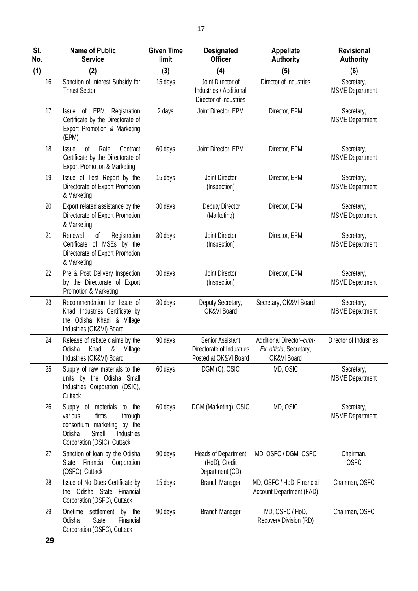| SI.<br>No. |     | <b>Name of Public</b><br><b>Service</b>                                                                                                                     | <b>Given Time</b><br>limit | <b>Designated</b><br><b>Officer</b>                                    | <b>Appellate</b><br><b>Authority</b>                               | <b>Revisional</b><br><b>Authority</b> |
|------------|-----|-------------------------------------------------------------------------------------------------------------------------------------------------------------|----------------------------|------------------------------------------------------------------------|--------------------------------------------------------------------|---------------------------------------|
| (1)        |     | (2)                                                                                                                                                         | (3)                        | (4)                                                                    | (5)                                                                | (6)                                   |
|            | 16. | Sanction of Interest Subsidy for<br><b>Thrust Sector</b>                                                                                                    | 15 days                    | Joint Director of<br>Industries / Additional<br>Director of Industries | Director of Industries                                             | Secretary,<br><b>MSME</b> Department  |
|            | 17. | Issue of EPM Registration<br>Certificate by the Directorate of<br>Export Promotion & Marketing<br>(EPM)                                                     | 2 days                     | Joint Director, EPM                                                    | Director, EPM                                                      | Secretary,<br><b>MSME</b> Department  |
|            | 18. | 0f<br>Rate<br>Contract<br><b>Issue</b><br>Certificate by the Directorate of<br><b>Export Promotion &amp; Marketing</b>                                      | 60 days                    | Joint Director, EPM                                                    | Director, EPM                                                      | Secretary,<br><b>MSME</b> Department  |
|            | 19. | Issue of Test Report by the<br>Directorate of Export Promotion<br>& Marketing                                                                               | 15 days                    | Joint Director<br>(Inspection)                                         | Director, EPM                                                      | Secretary,<br><b>MSME</b> Department  |
|            | 20. | Export related assistance by the<br>Directorate of Export Promotion<br>& Marketing                                                                          | 30 days                    | Deputy Director<br>(Marketing)                                         | Director, EPM                                                      | Secretary,<br><b>MSME Department</b>  |
|            | 21. | Renewal<br>Registration<br>of<br>Certificate of MSEs by the<br>Directorate of Export Promotion<br>& Marketing                                               | 30 days                    | Joint Director<br>(Inspection)                                         | Director, EPM                                                      | Secretary,<br><b>MSME Department</b>  |
|            | 22. | Pre & Post Delivery Inspection<br>by the Directorate of Export<br>Promotion & Marketing                                                                     | 30 days                    | Joint Director<br>(Inspection)                                         | Director, EPM                                                      | Secretary,<br><b>MSME</b> Department  |
|            | 23. | Recommendation for Issue of<br>Khadi Industries Certificate by<br>the Odisha Khadi & Village<br>Industries (OK&VI) Board                                    | 30 days                    | Deputy Secretary,<br>OK&VI Board                                       | Secretary, OK&VI Board                                             | Secretary,<br><b>MSME</b> Department  |
|            | 24. | Release of rebate claims by the<br>Odisha<br>Khadi<br>&<br>Village<br>Industries (OK&VI) Board                                                              | 90 days                    | Senior Assistant<br>Directorate of Industries<br>Posted at OK&VI Board | Additional Director-cum-<br>Ex. officio, Secretary,<br>OK&VI Board | Director of Industries.               |
|            | 25. | Supply of raw materials to the<br>units by the Odisha Small<br>Industries Corporation (OSIC),<br>Cuttack                                                    | 60 days                    | DGM (C), OSIC                                                          | MD, OSIC                                                           | Secretary,<br><b>MSME</b> Department  |
|            | 26. | Supply of materials<br>to the<br>various<br>firms<br>through<br>consortium marketing by the<br>Small<br>Odisha<br>Industries<br>Corporation (OSIC), Cuttack | 60 days                    | DGM (Marketing), OSIC                                                  | MD, OSIC                                                           | Secretary,<br><b>MSME</b> Department  |
|            | 27. | Sanction of loan by the Odisha<br>Financial<br>Corporation<br><b>State</b><br>(OSFC), Cuttack                                                               | 90 days                    | Heads of Department<br>(HoD), Credit<br>Department (CD)                | MD, OSFC / DGM, OSFC                                               | Chairman,<br><b>OSFC</b>              |
|            | 28. | Issue of No Dues Certificate by<br>the Odisha State Financial<br>Corporation (OSFC), Cuttack                                                                | 15 days                    | <b>Branch Manager</b>                                                  | MD, OSFC / HoD, Financial<br><b>Account Department (FAD)</b>       | Chairman, OSFC                        |
|            | 29. | Onetime<br>settlement by the<br>State<br>Odisha<br>Financial<br>Corporation (OSFC), Cuttack                                                                 | 90 days                    | <b>Branch Manager</b>                                                  | MD, OSFC / HoD,<br>Recovery Division (RD)                          | Chairman, OSFC                        |
|            | 29  |                                                                                                                                                             |                            |                                                                        |                                                                    |                                       |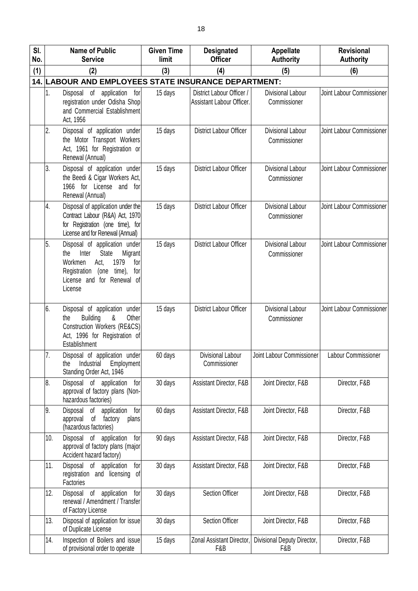| SI. |     | <b>Name of Public</b><br><b>Service</b>                                                                                                                                         | <b>Given Time</b><br>limit | <b>Designated</b><br><b>Officer</b>                    | <b>Appellate</b>                         | <b>Revisional</b>         |
|-----|-----|---------------------------------------------------------------------------------------------------------------------------------------------------------------------------------|----------------------------|--------------------------------------------------------|------------------------------------------|---------------------------|
| No. |     |                                                                                                                                                                                 |                            |                                                        | <b>Authority</b>                         | <b>Authority</b>          |
| (1) |     | (2)<br>14. LABOUR AND EMPLOYEES STATE INSURANCE DEPARTMENT:                                                                                                                     | (3)                        | (4)                                                    | (5)                                      | (6)                       |
|     | 1.  | application<br>Disposal of<br>for<br>registration under Odisha Shop<br>and Commercial Establishment<br>Act, 1956                                                                | 15 days                    | District Labour Officer /<br>Assistant Labour Officer. | Divisional Labour<br>Commissioner        | Joint Labour Commissioner |
|     | 2.  | Disposal of application under<br>the Motor Transport Workers<br>Act, 1961 for Registration or<br>Renewal (Annual)                                                               | 15 days                    | <b>District Labour Officer</b>                         | Divisional Labour<br>Commissioner        | Joint Labour Commissioner |
|     | 3.  | Disposal of application under<br>the Beedi & Cigar Workers Act,<br>1966 for License and for<br>Renewal (Annual)                                                                 | 15 days                    | District Labour Officer                                | Divisional Labour<br>Commissioner        | Joint Labour Commissioner |
|     | 4.  | Disposal of application under the<br>Contract Labour (R&A) Act, 1970<br>for Registration (one time), for<br>License and for Renewal (Annual)                                    | 15 days                    | <b>District Labour Officer</b>                         | <b>Divisional Labour</b><br>Commissioner | Joint Labour Commissioner |
|     | 5.  | Disposal of application under<br>Inter<br>State<br>Migrant<br>the<br>1979<br>Workmen<br>Act,<br>for<br>Registration (one time),<br>for<br>License and for Renewal of<br>License | 15 days                    | <b>District Labour Officer</b>                         | Divisional Labour<br>Commissioner        | Joint Labour Commissioner |
|     | 6.  | Disposal of application under<br><b>Building</b><br>&<br>Other<br>the<br>Construction Workers (RE&CS)<br>Act, 1996 for Registration of<br>Establishment                         | 15 days                    | District Labour Officer                                | <b>Divisional Labour</b><br>Commissioner | Joint Labour Commissioner |
|     | 7.  | Disposal of application under<br>Employment<br>Industrial<br>the<br>Standing Order Act, 1946                                                                                    | 60 days                    | Divisional Labour<br>Commissioner                      | Joint Labour Commissioner                | Labour Commissioner       |
|     | 8.  | Disposal of application<br>for<br>approval of factory plans (Non-<br>hazardous factories)                                                                                       | 30 days                    | Assistant Director, F&B                                | Joint Director, F&B                      | Director, F&B             |
|     | 9.  | of<br>Disposal<br>application<br>for<br>of factory<br>approval<br>plans<br>(hazardous factories)                                                                                | 60 days                    | Assistant Director, F&B                                | Joint Director, F&B                      | Director, F&B             |
|     | 10. | Disposal of<br>application<br>for<br>approval of factory plans (major<br>Accident hazard factory)                                                                               | 90 days                    | Assistant Director, F&B                                | Joint Director, F&B                      | Director, F&B             |
|     | 11. | Disposal of application<br>for<br>registration and licensing of<br>Factories                                                                                                    | 30 days                    | Assistant Director, F&B                                | Joint Director, F&B                      | Director, F&B             |
|     | 12. | of<br>application<br>Disposal<br>for<br>renewal / Amendment / Transfer<br>of Factory License                                                                                    | 30 days                    | Section Officer                                        | Joint Director, F&B                      | Director, F&B             |
|     | 13. | Disposal of application for issue<br>of Duplicate License                                                                                                                       | 30 days                    | Section Officer                                        | Joint Director, F&B                      | Director, F&B             |
|     | 14. | Inspection of Boilers and issue<br>of provisional order to operate                                                                                                              | 15 days                    | Zonal Assistant Director,<br>F&B                       | Divisional Deputy Director,<br>F&B       | Director, F&B             |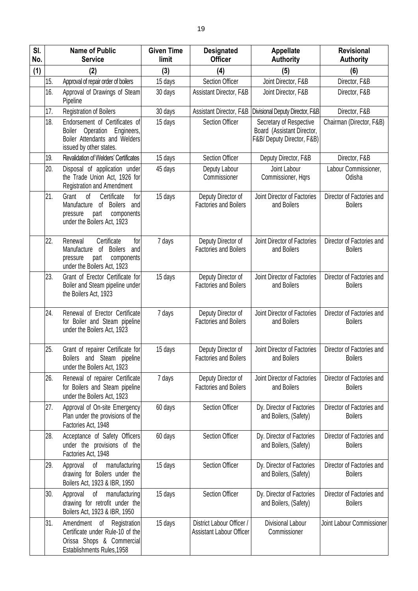| SI.<br>No. |     | <b>Name of Public</b><br><b>Service</b>                                                                                                                     | <b>Given Time</b><br>limit | <b>Designated</b><br><b>Officer</b>                          | <b>Appellate</b><br><b>Authority</b>                                                | <b>Revisional</b><br><b>Authority</b>       |
|------------|-----|-------------------------------------------------------------------------------------------------------------------------------------------------------------|----------------------------|--------------------------------------------------------------|-------------------------------------------------------------------------------------|---------------------------------------------|
| (1)        |     | (2)                                                                                                                                                         | (3)                        | (4)                                                          | (5)                                                                                 | (6)                                         |
|            | 15. | Approval of repair order of boilers                                                                                                                         | 15 days                    | <b>Section Officer</b>                                       | Joint Director, F&B                                                                 | Director, F&B                               |
|            | 16. | Approval of Drawings of Steam<br>Pipeline                                                                                                                   | 30 days                    | Assistant Director, F&B                                      | Joint Director, F&B                                                                 | Director, F&B                               |
|            | 17. | Registration of Boilers                                                                                                                                     | 30 days                    | Assistant Director, F&B                                      | Divisional Deputy Director, F&B                                                     | Director, F&B                               |
|            | 18. | Endorsement of Certificates of<br><b>Boiler</b><br>Operation<br>Engineers,<br>Boiler Attendants and Welders<br>issued by other states.                      | 15 days                    | Section Officer                                              | Secretary of Respective<br>Board (Assistant Director,<br>F&B/ Deputy Director, F&B) | Chairman (Director, F&B)                    |
|            | 19. | <b>Revalidation of Welders' Certificates</b>                                                                                                                | 15 days                    | <b>Section Officer</b>                                       | Deputy Director, F&B                                                                | Director, F&B                               |
|            | 20. | Disposal of application under<br>the Trade Union Act, 1926 for<br><b>Registration and Amendment</b>                                                         | 45 days                    | Deputy Labour<br>Commissioner                                | Joint Labour<br>Commissioner, Hqrs                                                  | Labour Commissioner,<br>Odisha              |
|            | 21. | <sub>of</sub><br>Certificate<br>Grant<br>for<br>Manufacture<br><b>Boilers</b><br>of<br>and<br>pressure<br>part<br>components<br>under the Boilers Act, 1923 | 15 days                    | Deputy Director of<br><b>Factories and Boilers</b>           | Joint Director of Factories<br>and Boilers                                          | Director of Factories and<br><b>Boilers</b> |
|            | 22. | Certificate<br>Renewal<br>for<br><b>Boilers</b><br>Manufacture of<br>and<br>pressure<br>part<br>components<br>under the Boilers Act, 1923                   | 7 days                     | Deputy Director of<br><b>Factories and Boilers</b>           | Joint Director of Factories<br>and Boilers                                          | Director of Factories and<br><b>Boilers</b> |
|            | 23. | Grant of Erector Certificate for<br>Boiler and Steam pipeline under<br>the Boilers Act, 1923                                                                | 15 days                    | Deputy Director of<br><b>Factories and Boilers</b>           | Joint Director of Factories<br>and Boilers                                          | Director of Factories and<br><b>Boilers</b> |
|            | 24. | Renewal of Erector Certificate<br>for Boiler and Steam pipeline<br>under the Boilers Act, 1923                                                              | 7 days                     | Deputy Director of<br><b>Factories and Boilers</b>           | Joint Director of Factories<br>and Boilers                                          | Director of Factories and<br><b>Boilers</b> |
|            | 25. | Grant of repairer Certificate for<br>Boilers and Steam pipeline<br>under the Boilers Act, 1923                                                              | 15 days                    | Deputy Director of<br><b>Factories and Boilers</b>           | Joint Director of Factories<br>and Boilers                                          | Director of Factories and<br><b>Boilers</b> |
|            | 26. | Renewal of repairer Certificate<br>for Boilers and Steam pipeline<br>under the Boilers Act, 1923                                                            | 7 days                     | Deputy Director of<br><b>Factories and Boilers</b>           | Joint Director of Factories<br>and Boilers                                          | Director of Factories and<br><b>Boilers</b> |
|            | 27. | Approval of On-site Emergency<br>Plan under the provisions of the<br>Factories Act, 1948                                                                    | 60 days                    | Section Officer                                              | Dy. Director of Factories<br>and Boilers, (Safety)                                  | Director of Factories and<br><b>Boilers</b> |
|            | 28. | Acceptance of Safety Officers<br>under the provisions of the<br>Factories Act, 1948                                                                         | 60 days                    | <b>Section Officer</b>                                       | Dy. Director of Factories<br>and Boilers, (Safety)                                  | Director of Factories and<br><b>Boilers</b> |
|            | 29. | Approval<br>manufacturing<br>of<br>drawing for Boilers under the<br>Boilers Act, 1923 & IBR, 1950                                                           | 15 days                    | Section Officer                                              | Dy. Director of Factories<br>and Boilers, (Safety)                                  | Director of Factories and<br><b>Boilers</b> |
|            | 30. | Approval<br>of manufacturing<br>drawing for retrofit under the<br>Boilers Act, 1923 & IBR, 1950                                                             | 15 days                    | Section Officer                                              | Dy. Director of Factories<br>and Boilers, (Safety)                                  | Director of Factories and<br><b>Boilers</b> |
|            | 31. | Amendment of Registration<br>Certificate under Rule-10 of the<br>Orissa Shops & Commercial<br>Establishments Rules, 1958                                    | 15 days                    | District Labour Officer /<br><b>Assistant Labour Officer</b> | Divisional Labour<br>Commissioner                                                   | Joint Labour Commissioner                   |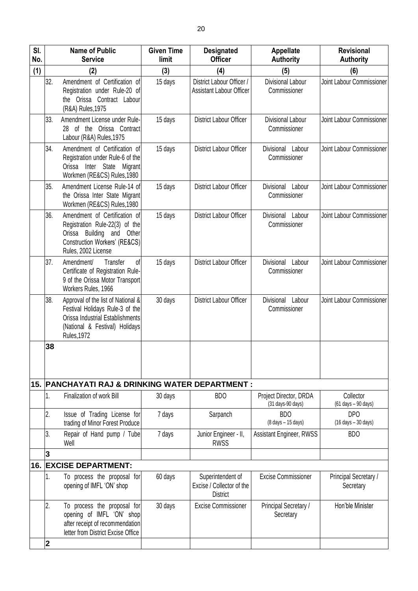| SI.<br>No. |                         | <b>Name of Public</b><br><b>Service</b>                                                                                                                           | <b>Given Time</b><br>limit | <b>Designated</b><br><b>Officer</b>                               | Appellate<br><b>Authority</b>                                           | <b>Revisional</b><br><b>Authority</b>                               |
|------------|-------------------------|-------------------------------------------------------------------------------------------------------------------------------------------------------------------|----------------------------|-------------------------------------------------------------------|-------------------------------------------------------------------------|---------------------------------------------------------------------|
| (1)        |                         | (2)                                                                                                                                                               | (3)                        | (4)                                                               | (5)                                                                     | (6)                                                                 |
|            | 32.                     | Amendment of Certification of<br>Registration under Rule-20 of<br>the Orissa Contract Labour<br>(R&A) Rules, 1975                                                 | 15 days                    | District Labour Officer /<br><b>Assistant Labour Officer</b>      | Divisional Labour<br>Commissioner                                       | Joint Labour Commissioner                                           |
|            | 33.                     | Amendment License under Rule-<br>28 of the Orissa Contract<br>Labour (R&A) Rules, 1975                                                                            | 15 days                    | <b>District Labour Officer</b>                                    | Divisional Labour<br>Commissioner                                       | Joint Labour Commissioner                                           |
|            | 34.                     | Amendment of Certification of<br>Registration under Rule-6 of the<br>Inter State Migrant<br>Orissa<br>Workmen (RE&CS) Rules, 1980                                 | 15 days                    | <b>District Labour Officer</b>                                    | Divisional Labour<br>Commissioner                                       | Joint Labour Commissioner                                           |
|            | 35.                     | Amendment License Rule-14 of<br>the Orissa Inter State Migrant<br>Workmen (RE&CS) Rules, 1980                                                                     | 15 days                    | <b>District Labour Officer</b>                                    | Divisional<br>Labour<br>Commissioner                                    | Joint Labour Commissioner                                           |
|            | 36.                     | Amendment of Certification of<br>Registration Rule-22(3) of the<br>Orissa Building and Other<br>Construction Workers' (RE&CS)<br>Rules, 2002 License              | 15 days                    | <b>District Labour Officer</b>                                    | Divisional Labour<br>Commissioner                                       | Joint Labour Commissioner                                           |
|            | 37.                     | Amendment/<br>Transfer<br>of<br>Certificate of Registration Rule-<br>9 of the Orissa Motor Transport<br>Workers Rules, 1966                                       | 15 days                    | <b>District Labour Officer</b>                                    | Divisional<br>Labour<br>Commissioner                                    | Joint Labour Commissioner                                           |
|            | 38.                     | Approval of the list of National &<br>Festival Holidays Rule-3 of the<br>Orissa Industrial Establishments<br>(National & Festival) Holidays<br><b>Rules, 1972</b> | 30 days                    | District Labour Officer                                           | Divisional<br>Labour<br>Commissioner                                    | Joint Labour Commissioner                                           |
|            | 38                      | 15. PANCHAYATI RAJ & DRINKING WATER DEPARTMENT :                                                                                                                  |                            |                                                                   |                                                                         |                                                                     |
|            | 1.                      | Finalization of work Bill                                                                                                                                         | 30 days                    | <b>BDO</b>                                                        | Project Director, DRDA                                                  | Collector                                                           |
|            | 2.                      | Issue of Trading License for<br>trading of Minor Forest Produce                                                                                                   | 7 days                     | Sarpanch                                                          | (31 days-90 days)<br><b>BDO</b><br>$(8 \text{ days} - 15 \text{ days})$ | (61 days - 90 days)<br>DPO<br>$(16 \text{ days} - 30 \text{ days})$ |
|            | 3.                      | Repair of Hand pump / Tube<br>Well                                                                                                                                | 7 days                     | Junior Engineer - II,<br><b>RWSS</b>                              | Assistant Engineer, RWSS                                                | <b>BDO</b>                                                          |
|            | 3                       |                                                                                                                                                                   |                            |                                                                   |                                                                         |                                                                     |
|            |                         | 16. EXCISE DEPARTMENT:                                                                                                                                            |                            |                                                                   |                                                                         |                                                                     |
|            | 1.                      | To process the proposal for<br>opening of IMFL 'ON' shop                                                                                                          | 60 days                    | Superintendent of<br>Excise / Collector of the<br><b>District</b> | <b>Excise Commissioner</b>                                              | Principal Secretary /<br>Secretary                                  |
|            | 2.                      | To process the proposal for<br>opening of IMFL 'ON' shop<br>after receipt of recommendation<br>letter from District Excise Office                                 | 30 days                    | <b>Excise Commissioner</b>                                        | Principal Secretary /<br>Secretary                                      | Hon'ble Minister                                                    |
|            | $\overline{\mathbf{2}}$ |                                                                                                                                                                   |                            |                                                                   |                                                                         |                                                                     |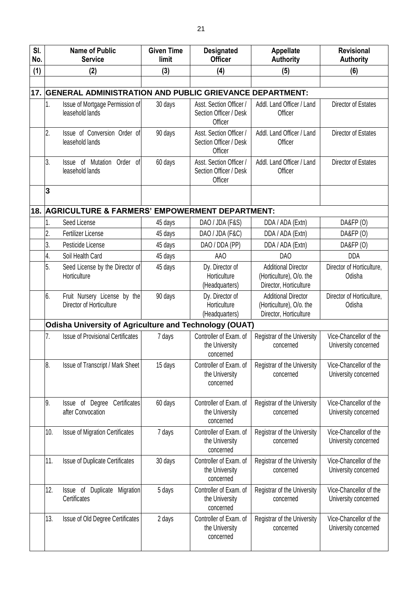| SI.<br>No. |                                                        | <b>Name of Public</b><br><b>Service</b>                     | <b>Given Time</b><br>limit | <b>Designated</b><br><b>Officer</b>                          | <b>Appellate</b><br><b>Authority</b>                                             | <b>Revisional</b><br><b>Authority</b>          |  |  |  |
|------------|--------------------------------------------------------|-------------------------------------------------------------|----------------------------|--------------------------------------------------------------|----------------------------------------------------------------------------------|------------------------------------------------|--|--|--|
| (1)        |                                                        | (2)                                                         | (3)                        | (4)                                                          | (5)                                                                              | (6)                                            |  |  |  |
|            |                                                        |                                                             |                            |                                                              |                                                                                  |                                                |  |  |  |
|            |                                                        | 17. GENERAL ADMINISTRATION AND PUBLIC GRIEVANCE DEPARTMENT: |                            |                                                              |                                                                                  |                                                |  |  |  |
|            | 1.                                                     | Issue of Mortgage Permission of<br>leasehold lands          | 30 days                    | Asst. Section Officer /<br>Section Officer / Desk<br>Officer | Addl. Land Officer / Land<br>Officer                                             | Director of Estates                            |  |  |  |
|            | 2.                                                     | Issue of Conversion Order of<br>leasehold lands             | 90 days                    | Asst. Section Officer /<br>Section Officer / Desk<br>Officer | Addl. Land Officer / Land<br>Officer                                             | <b>Director of Estates</b>                     |  |  |  |
|            | 3.                                                     | Order of<br>Issue of Mutation<br>leasehold lands            | 60 days                    | Asst. Section Officer /<br>Section Officer / Desk<br>Officer | Addl. Land Officer / Land<br>Officer                                             | Director of Estates                            |  |  |  |
|            | 3                                                      |                                                             |                            |                                                              |                                                                                  |                                                |  |  |  |
| 18.        |                                                        | <b>AGRICULTURE &amp; FARMERS' EMPOWERMENT DEPARTMENT:</b>   |                            |                                                              |                                                                                  |                                                |  |  |  |
|            | 1.                                                     | Seed License                                                | 45 days                    | DAO / JDA (F&S)                                              | DDA / ADA (Extn)                                                                 | DA&FP (O)                                      |  |  |  |
|            | 2.                                                     | <b>Fertilizer License</b>                                   | 45 days                    | DAO / JDA (F&C)                                              | DDA / ADA (Extn)                                                                 | DA&FP (O)                                      |  |  |  |
|            | 3.                                                     | Pesticide License                                           | 45 days                    | DAO / DDA (PP)                                               | DDA / ADA (Extn)                                                                 | DA&FP (O)                                      |  |  |  |
|            | 4.                                                     | Soil Health Card                                            | 45 days                    | <b>AAO</b>                                                   | <b>DAO</b>                                                                       | <b>DDA</b>                                     |  |  |  |
|            | 5.                                                     | Seed License by the Director of<br>Horticulture             | 45 days                    | Dy. Director of<br>Horticulture<br>(Headquarters)            | <b>Additional Director</b><br>(Horticulture), O/o. the<br>Director, Horticulture | Director of Horticulture,<br>Odisha            |  |  |  |
|            | 6.                                                     | Fruit Nursery License by the<br>Director of Horticulture    | 90 days                    | Dy. Director of<br>Horticulture<br>(Headquarters)            | <b>Additional Director</b><br>(Horticulture), O/o. the<br>Director, Horticulture | Director of Horticulture,<br>Odisha            |  |  |  |
|            | Odisha University of Agriculture and Technology (OUAT) |                                                             |                            |                                                              |                                                                                  |                                                |  |  |  |
|            | 7.                                                     | <b>Issue of Provisional Certificates</b>                    | 7 days                     | Controller of Exam. of<br>the University<br>concerned        | Registrar of the University<br>concerned                                         | Vice-Chancellor of the<br>University concerned |  |  |  |
|            | 8.                                                     | Issue of Transcript / Mark Sheet                            | 15 days                    | Controller of Exam. of<br>the University<br>concerned        | Registrar of the University<br>concerned                                         | Vice-Chancellor of the<br>University concerned |  |  |  |
|            | 9.                                                     | Certificates<br>of Degree<br>Issue<br>after Convocation     | 60 days                    | Controller of Exam. of<br>the University<br>concerned        | Registrar of the University<br>concerned                                         | Vice-Chancellor of the<br>University concerned |  |  |  |
|            | 10.                                                    | <b>Issue of Migration Certificates</b>                      | 7 days                     | Controller of Exam. of<br>the University<br>concerned        | Registrar of the University<br>concerned                                         | Vice-Chancellor of the<br>University concerned |  |  |  |
|            | 11.                                                    | <b>Issue of Duplicate Certificates</b>                      | 30 days                    | Controller of Exam. of<br>the University<br>concerned        | Registrar of the University<br>concerned                                         | Vice-Chancellor of the<br>University concerned |  |  |  |
|            | 12.                                                    | Issue of Duplicate<br>Migration<br>Certificates             | 5 days                     | Controller of Exam. of<br>the University<br>concerned        | Registrar of the University<br>concerned                                         | Vice-Chancellor of the<br>University concerned |  |  |  |
|            | 13.                                                    | Issue of Old Degree Certificates                            | 2 days                     | Controller of Exam. of<br>the University<br>concerned        | Registrar of the University<br>concerned                                         | Vice-Chancellor of the<br>University concerned |  |  |  |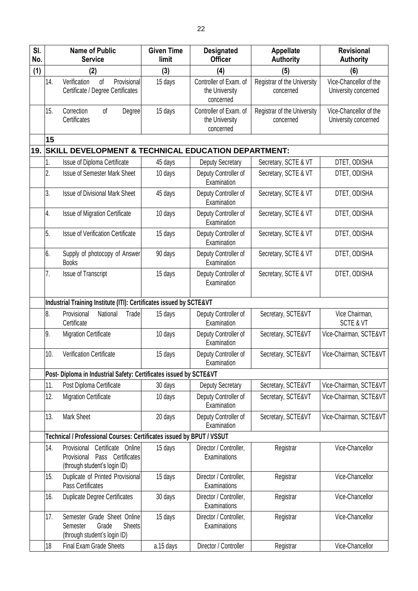| SI.<br>No. |     | <b>Name of Public</b><br><b>Service</b>                                                               | <b>Given Time</b><br>limit | <b>Designated</b><br><b>Officer</b>                   | <b>Appellate</b><br><b>Authority</b>     | <b>Revisional</b><br><b>Authority</b>          |
|------------|-----|-------------------------------------------------------------------------------------------------------|----------------------------|-------------------------------------------------------|------------------------------------------|------------------------------------------------|
| (1)        |     | (2)                                                                                                   | (3)                        | (4)                                                   | (5)                                      | (6)                                            |
|            | 14. | Verification<br>of<br>Provisional<br>Certificate / Degree Certificates                                | 15 days                    | Controller of Exam. of<br>the University<br>concerned | Registrar of the University<br>concerned | Vice-Chancellor of the<br>University concerned |
|            | 15. | Correction<br>Degree<br>of<br>Certificates                                                            | 15 days                    | Controller of Exam. of<br>the University<br>concerned | Registrar of the University<br>concerned | Vice-Chancellor of the<br>University concerned |
|            | 15  |                                                                                                       |                            |                                                       |                                          |                                                |
| 19.        |     | SKILL DEVELOPMENT & TECHNICAL EDUCATION DEPARTMENT:                                                   |                            |                                                       |                                          |                                                |
|            | 1.  | Issue of Diploma Certificate                                                                          | 45 days                    | Deputy Secretary                                      | Secretary, SCTE & VT                     | DTET, ODISHA                                   |
|            | 2.  | <b>Issue of Semester Mark Sheet</b>                                                                   | 10 days                    | Deputy Controller of<br>Examination                   | Secretary, SCTE & VT                     | DTET, ODISHA                                   |
|            | 3.  | <b>Issue of Divisional Mark Sheet</b>                                                                 | 45 days                    | Deputy Controller of<br>Examination                   | Secretary, SCTE & VT                     | DTET, ODISHA                                   |
|            | 4.  | Issue of Migration Certificate                                                                        | 10 days                    | Deputy Controller of<br>Examination                   | Secretary, SCTE & VT                     | DTET, ODISHA                                   |
|            | 5.  | Issue of Verification Certificate                                                                     | 15 days                    | Deputy Controller of<br>Examination                   | Secretary, SCTE & VT                     | DTET, ODISHA                                   |
|            | 6.  | Supply of photocopy of Answer<br><b>Books</b>                                                         | 90 days                    | Deputy Controller of<br>Examination                   | Secretary, SCTE & VT                     | DTET, ODISHA                                   |
|            | 7.  | <b>Issue of Transcript</b>                                                                            | 15 days                    | Deputy Controller of<br>Examination                   | Secretary, SCTE & VT                     | DTET, ODISHA                                   |
|            |     | Industrial Training Institute (ITI): Certificates issued by SCTE&VT                                   |                            |                                                       |                                          |                                                |
|            | 8.  | Provisional<br>Trade<br>National<br>Certificate                                                       | 15 days                    | Deputy Controller of<br>Examination                   | Secretary, SCTE&VT                       | Vice Chairman,<br><b>SCTE &amp; VT</b>         |
|            | 9.  | <b>Migration Certificate</b>                                                                          | 10 days                    | Deputy Controller of<br>Examination                   | Secretary, SCTE&VT                       | Vice-Chairman, SCTE&VT                         |
|            | 10. | Verification Certificate                                                                              | 15 days                    | Deputy Controller of<br>Examination                   | Secretary, SCTE&VT                       | Vice-Chairman, SCTE&VT                         |
|            |     | Post- Diploma in Industrial Safety: Certificates issued by SCTE&VT                                    |                            |                                                       |                                          |                                                |
|            | 11. | Post Diploma Certificate                                                                              | 30 days                    | Deputy Secretary                                      | Secretary, SCTE&VT                       | Vice-Chairman, SCTE&VT                         |
|            | 12. | <b>Migration Certificate</b>                                                                          | 10 days                    | Deputy Controller of<br>Examination                   | Secretary, SCTE&VT                       | Vice-Chairman, SCTE&VT                         |
|            | 13. | Mark Sheet                                                                                            | 20 days                    | Deputy Controller of<br>Examination                   | Secretary, SCTE&VT                       | Vice-Chairman, SCTE&VT                         |
|            |     | Technical / Professional Courses: Certificates issued by BPUT / VSSUT                                 |                            |                                                       |                                          |                                                |
|            | 14. | Certificate Online<br>Provisional<br>Pass Certificates<br>Provisional<br>(through student's login ID) | 15 days                    | Director / Controller,<br>Examinations                | Registrar                                | Vice-Chancellor                                |
|            | 15. | Duplicate of Printed Provisional<br>Pass Certificates                                                 | 15 days                    | Director / Controller,<br>Examinations                | Registrar                                | Vice-Chancellor                                |
|            | 16. | <b>Duplicate Degree Certificates</b>                                                                  | 30 days                    | Director / Controller,<br>Examinations                | Registrar                                | Vice-Chancellor                                |
|            | 17. | Semester Grade Sheet Online<br><b>Sheets</b><br>Grade<br>Semester<br>(through student's login ID)     | 15 days                    | Director / Controller,<br>Examinations                | Registrar                                | Vice-Chancellor                                |
|            | 18  | Final Exam Grade Sheets                                                                               | a.15 days                  | Director / Controller                                 | Registrar                                | Vice-Chancellor                                |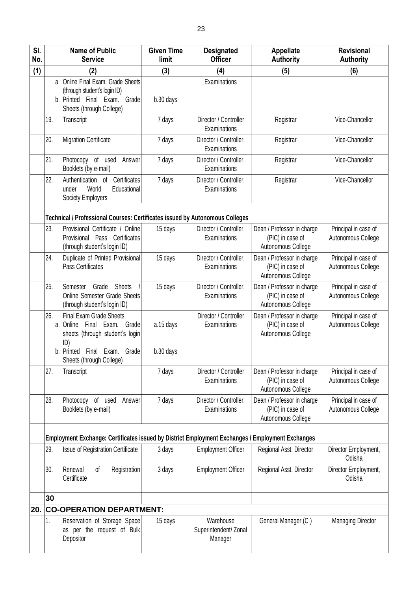| SI.<br>No. |     | <b>Name of Public</b><br><b>Service</b>                                                                                                                                | <b>Given Time</b><br>limit | <b>Designated</b><br><b>Officer</b>           | <b>Appellate</b><br><b>Authority</b>                                 | <b>Revisional</b><br><b>Authority</b>      |
|------------|-----|------------------------------------------------------------------------------------------------------------------------------------------------------------------------|----------------------------|-----------------------------------------------|----------------------------------------------------------------------|--------------------------------------------|
| (1)        |     | (2)                                                                                                                                                                    | (3)                        | (4)                                           | (5)                                                                  | (6)                                        |
|            |     | a. Online Final Exam. Grade Sheets<br>(through student's login ID)<br>b. Printed Final Exam. Grade<br>Sheets (through College)                                         | b.30 days                  | Examinations                                  |                                                                      |                                            |
|            | 19. | Transcript                                                                                                                                                             | 7 days                     | Director / Controller<br>Examinations         | Registrar                                                            | Vice-Chancellor                            |
|            | 20. | <b>Migration Certificate</b>                                                                                                                                           | 7 days                     | Director / Controller,<br>Examinations        | Registrar                                                            | Vice-Chancellor                            |
|            | 21. | Photocopy of used<br>Answer<br>Booklets (by e-mail)                                                                                                                    | 7 days                     | Director / Controller,<br>Examinations        | Registrar                                                            | Vice-Chancellor                            |
|            | 22. | Authentication of<br>Certificates<br>World<br>Educational<br>under<br>Society Employers                                                                                | 7 days                     | Director / Controller,<br>Examinations        | Registrar                                                            | Vice-Chancellor                            |
|            |     | Technical / Professional Courses: Certificates issued by Autonomous Colleges                                                                                           |                            |                                               |                                                                      |                                            |
|            | 23. | Provisional Certificate / Online<br>Provisional Pass Certificates<br>(through student's login ID)                                                                      | 15 days                    | Director / Controller,<br>Examinations        | Dean / Professor in charge<br>(PIC) in case of<br>Autonomous College | Principal in case of<br>Autonomous College |
|            | 24. | Duplicate of Printed Provisional<br>Pass Certificates                                                                                                                  | 15 days                    | Director / Controller,<br>Examinations        | Dean / Professor in charge<br>(PIC) in case of<br>Autonomous College | Principal in case of<br>Autonomous College |
|            | 25. | Grade<br><b>Sheets</b><br>Semester<br>Online Semester Grade Sheets<br>(through student's login ID)                                                                     | 15 days                    | Director / Controller,<br>Examinations        | Dean / Professor in charge<br>(PIC) in case of<br>Autonomous College | Principal in case of<br>Autonomous College |
|            | 26. | <b>Final Exam Grade Sheets</b><br>a. Online Final Exam. Grade<br>sheets (through student's login<br>ID)<br>b. Printed<br>Final Exam. Grade<br>Sheets (through College) | a.15 days<br>b.30 days     | Director / Controller<br>Examinations         | Dean / Professor in charge<br>(PIC) in case of<br>Autonomous College | Principal in case of<br>Autonomous College |
|            | 27. | Transcript                                                                                                                                                             | 7 days                     | Director / Controller<br>Examinations         | Dean / Professor in charge<br>(PIC) in case of<br>Autonomous College | Principal in case of<br>Autonomous College |
|            | 28. | Photocopy of used<br>Answer<br>Booklets (by e-mail)                                                                                                                    | 7 days                     | Director / Controller,<br>Examinations        | Dean / Professor in charge<br>(PIC) in case of<br>Autonomous College | Principal in case of<br>Autonomous College |
|            |     | Employment Exchange: Certificates issued by District Employment Exchanges / Employment Exchanges                                                                       |                            |                                               |                                                                      |                                            |
|            | 29. | Issue of Registration Certificate                                                                                                                                      | 3 days                     | <b>Employment Officer</b>                     | Regional Asst. Director                                              | Director Employment,<br>Odisha             |
|            | 30. | Renewal<br>of<br>Registration<br>Certificate                                                                                                                           | 3 days                     | <b>Employment Officer</b>                     | Regional Asst. Director                                              | Director Employment,<br>Odisha             |
|            | 30  |                                                                                                                                                                        |                            |                                               |                                                                      |                                            |
| 20.        |     | <b>CO-OPERATION DEPARTMENT:</b>                                                                                                                                        |                            |                                               |                                                                      |                                            |
|            | 1.  | Reservation of Storage Space<br>as per the request of Bulk<br>Depositor                                                                                                | 15 days                    | Warehouse<br>Superintendent/ Zonal<br>Manager | General Manager (C)                                                  | <b>Managing Director</b>                   |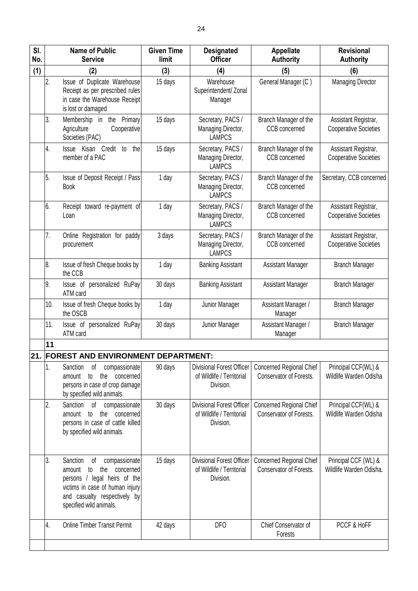| SI.<br>No. |     | <b>Name of Public</b><br><b>Service</b>                                                                                                                                                           | <b>Given Time</b><br>limit | <b>Designated</b><br><b>Officer</b>                                        | <b>Appellate</b><br><b>Authority</b>                | <b>Revisional</b><br><b>Authority</b>                |
|------------|-----|---------------------------------------------------------------------------------------------------------------------------------------------------------------------------------------------------|----------------------------|----------------------------------------------------------------------------|-----------------------------------------------------|------------------------------------------------------|
| (1)        |     | (2)                                                                                                                                                                                               | (3)                        | (4)                                                                        | (5)                                                 | (6)                                                  |
|            | 2.  | Issue of Duplicate Warehouse<br>Receipt as per prescribed rules<br>in case the Warehouse Receipt<br>is lost or damaged                                                                            | 15 days                    | Warehouse<br>Superintendent/ Zonal<br>Manager                              | General Manager (C)                                 | <b>Managing Director</b>                             |
|            | 3.  | Membership in the Primary<br>Agriculture<br>Cooperative<br>Societies (PAC)                                                                                                                        | 15 days                    | Secretary, PACS /<br>Managing Director,<br><b>LAMPCS</b>                   | Branch Manager of the<br>CCB concerned              | Assistant Registrar,<br><b>Cooperative Societies</b> |
|            | 4.  | Issue Kisan Credit to<br>the<br>member of a PAC                                                                                                                                                   | 15 days                    | Secretary, PACS /<br>Managing Director,<br><b>LAMPCS</b>                   | Branch Manager of the<br>CCB concerned              | Assistant Registrar,<br><b>Cooperative Societies</b> |
|            | 5.  | Issue of Deposit Receipt / Pass<br><b>Book</b>                                                                                                                                                    | 1 day                      | Secretary, PACS /<br>Managing Director,<br><b>LAMPCS</b>                   | Branch Manager of the<br><b>CCB</b> concerned       | Secretary, CCB concerned                             |
|            | 6.  | Receipt toward re-payment of<br>Loan                                                                                                                                                              | 1 day                      | Secretary, PACS /<br>Managing Director,<br><b>LAMPCS</b>                   | Branch Manager of the<br><b>CCB</b> concerned       | Assistant Registrar,<br><b>Cooperative Societies</b> |
|            | 7.  | Online Registration for paddy<br>procurement                                                                                                                                                      | 3 days                     | Secretary, PACS /<br>Managing Director,<br><b>LAMPCS</b>                   | Branch Manager of the<br>CCB concerned              | Assistant Registrar,<br><b>Cooperative Societies</b> |
|            | 8.  | Issue of fresh Cheque books by<br>the CCB                                                                                                                                                         | 1 day                      | <b>Banking Assistant</b>                                                   | <b>Assistant Manager</b>                            | <b>Branch Manager</b>                                |
|            | 9.  | Issue of personalized RuPay<br>ATM card                                                                                                                                                           | 30 days                    | <b>Banking Assistant</b>                                                   | Assistant Manager                                   | <b>Branch Manager</b>                                |
|            | 10. | Issue of fresh Cheque books by<br>the OSCB                                                                                                                                                        | 1 day                      | Junior Manager                                                             | Assistant Manager /<br>Manager                      | <b>Branch Manager</b>                                |
|            | 11. | Issue of personalized RuPay<br>ATM card                                                                                                                                                           | 30 days                    | Junior Manager                                                             | Assistant Manager /<br>Manager                      | <b>Branch Manager</b>                                |
|            | 11  |                                                                                                                                                                                                   |                            |                                                                            |                                                     |                                                      |
| 21.        |     | <b>FOREST AND ENVIRONMENT DEPARTMENT:</b>                                                                                                                                                         |                            |                                                                            |                                                     |                                                      |
|            | 1.  | Sanction<br>compassionate<br>of<br>the<br>to<br>concerned<br>amount<br>persons in case of crop damage<br>by specified wild animals.                                                               | 90 days                    | <b>Divisional Forest Officer</b><br>of Wildlife / Territorial<br>Division. | Concerned Regional Chief<br>Conservator of Forests. | Principal CCF(WL) &<br>Wildlife Warden Odisha        |
|            | 2.  | Sanction<br>of<br>compassionate<br>the<br>concerned<br>to<br>amount<br>persons in case of cattle killed<br>by specified wild animals.                                                             | 30 days                    | Divisional Forest Officer<br>of Wildlife / Territorial<br>Division.        | Concerned Regional Chief<br>Conservator of Forests. | Principal CCF(WL) &<br>Wildlife Warden Odisha        |
|            | 3.  | Sanction<br>compassionate<br>of<br>the<br>concerned<br>amount<br>to<br>persons / legal heirs of the<br>victims in case of human injury<br>and casualty respectively by<br>specified wild animals. | 15 days                    | <b>Divisional Forest Officer</b><br>of Wildlife / Territorial<br>Division. | Concerned Regional Chief<br>Conservator of Forests. | Principal CCF (WL) &<br>Wildlife Warden Odisha.      |
|            | 4.  | <b>Online Timber Transit Permit</b>                                                                                                                                                               | 42 days                    | DF <sub>O</sub>                                                            | Chief Conservator of<br>Forests                     | PCCF & HoFF                                          |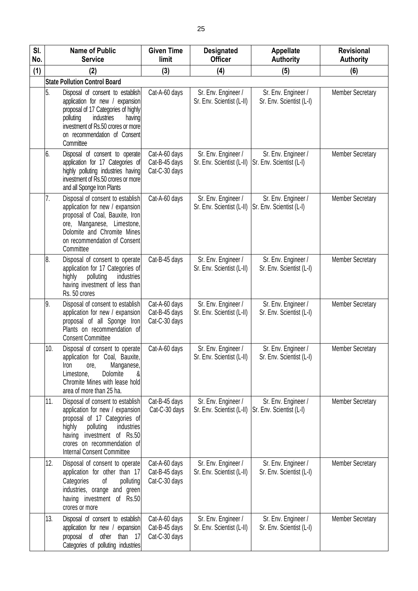| SI.<br>No. |     | <b>Name of Public</b><br><b>Service</b>                                                                                                                                                                                                       | <b>Given Time</b><br>limit                      | <b>Designated</b><br><b>Officer</b>              | <b>Appellate</b><br><b>Authority</b>            | <b>Revisional</b><br><b>Authority</b> |
|------------|-----|-----------------------------------------------------------------------------------------------------------------------------------------------------------------------------------------------------------------------------------------------|-------------------------------------------------|--------------------------------------------------|-------------------------------------------------|---------------------------------------|
| (1)        |     | (2)                                                                                                                                                                                                                                           | (3)                                             | (4)                                              | (5)                                             | (6)                                   |
|            |     | <b>State Pollution Control Board</b>                                                                                                                                                                                                          |                                                 |                                                  |                                                 |                                       |
|            | 5.  | Disposal of consent to establish<br>application for new / expansion<br>proposal of 17 Categories of highly<br>polluting<br>industries<br>having<br>investment of Rs.50 crores or more<br>on recommendation of Consent<br>Committee            | Cat-A-60 days                                   | Sr. Env. Engineer /<br>Sr. Env. Scientist (L-II) | Sr. Env. Engineer /<br>Sr. Env. Scientist (L-I) | <b>Member Secretary</b>               |
|            | 6.  | Disposal of consent to operate<br>application for 17 Categories of<br>highly polluting industries having<br>investment of Rs.50 crores or more<br>and all Sponge Iron Plants                                                                  | Cat-A-60 days<br>Cat-B-45 days<br>Cat-C-30 days | Sr. Env. Engineer /<br>Sr. Env. Scientist (L-II) | Sr. Env. Engineer /<br>Sr. Env. Scientist (L-I) | <b>Member Secretary</b>               |
|            | 7.  | Disposal of consent to establish<br>application for new / expansion<br>proposal of Coal, Bauxite, Iron<br>ore, Manganese, Limestone,<br>Dolomite and Chromite Mines<br>on recommendation of Consent<br>Committee                              | Cat-A-60 days                                   | Sr. Env. Engineer /<br>Sr. Env. Scientist (L-II) | Sr. Env. Engineer /<br>Sr. Env. Scientist (L-I) | <b>Member Secretary</b>               |
|            | 8.  | Disposal of consent to operate<br>application for 17 Categories of<br>highly<br>polluting<br>industries<br>having investment of less than<br>Rs. 50 crores                                                                                    | Cat-B-45 days                                   | Sr. Env. Engineer /<br>Sr. Env. Scientist (L-II) | Sr. Env. Engineer /<br>Sr. Env. Scientist (L-I) | <b>Member Secretary</b>               |
|            | 9.  | Disposal of consent to establish<br>application for new / expansion<br>proposal of all Sponge Iron<br>Plants on recommendation of<br><b>Consent Committee</b>                                                                                 | Cat-A-60 days<br>Cat-B-45 days<br>Cat-C-30 days | Sr. Env. Engineer /<br>Sr. Env. Scientist (L-II) | Sr. Env. Engineer /<br>Sr. Env. Scientist (L-I) | <b>Member Secretary</b>               |
|            | 10. | Disposal of consent to operate<br>application for Coal, Bauxite,<br>Manganese,<br>Iron<br>ore,<br>Dolomite<br>Limestone,<br>&<br>Chromite Mines with lease hold<br>area of more than 25 ha.                                                   | Cat-A-60 days                                   | Sr. Env. Engineer /<br>Sr. Env. Scientist (L-II) | Sr. Env. Engineer /<br>Sr. Env. Scientist (L-I) | <b>Member Secretary</b>               |
|            | 11. | Disposal of consent to establish<br>application for new / expansion<br>proposal of 17 Categories of<br>highly<br>polluting<br>industries<br>investment of Rs.50<br>having<br>crores on recommendation of<br><b>Internal Consent Committee</b> | Cat-B-45 days<br>Cat-C-30 days                  | Sr. Env. Engineer /<br>Sr. Env. Scientist (L-II) | Sr. Env. Engineer /<br>Sr. Env. Scientist (L-I) | <b>Member Secretary</b>               |
|            | 12. | Disposal of consent to operate<br>application for other than 17<br>Categories<br>οf<br>polluting<br>industries, orange and green<br>having investment of Rs.50<br>crores or more                                                              | Cat-A-60 days<br>Cat-B-45 days<br>Cat-C-30 days | Sr. Env. Engineer /<br>Sr. Env. Scientist (L-II) | Sr. Env. Engineer /<br>Sr. Env. Scientist (L-I) | <b>Member Secretary</b>               |
|            | 13. | Disposal of consent to establish<br>application for new / expansion<br>proposal of other<br>than<br>- 17<br>Categories of polluting industries                                                                                                | Cat-A-60 days<br>Cat-B-45 days<br>Cat-C-30 days | Sr. Env. Engineer /<br>Sr. Env. Scientist (L-II) | Sr. Env. Engineer /<br>Sr. Env. Scientist (L-I) | <b>Member Secretary</b>               |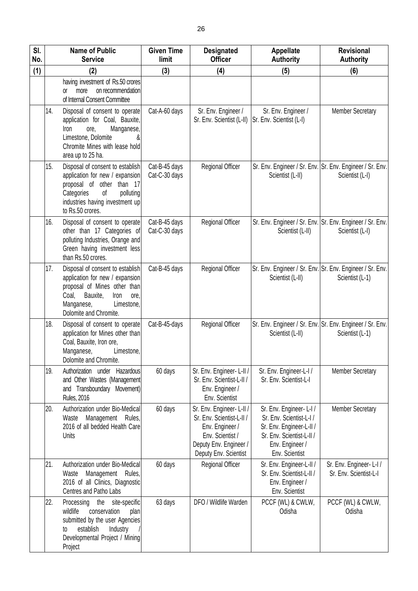| SI.<br>No. |     | <b>Name of Public</b><br><b>Service</b>                                                                                                                                                        | <b>Given Time</b><br>limit     | <b>Designated</b><br><b>Officer</b>                                                                                                             | Appellate<br><b>Authority</b>                                                                                                                    | <b>Revisional</b><br><b>Authority</b>                                        |
|------------|-----|------------------------------------------------------------------------------------------------------------------------------------------------------------------------------------------------|--------------------------------|-------------------------------------------------------------------------------------------------------------------------------------------------|--------------------------------------------------------------------------------------------------------------------------------------------------|------------------------------------------------------------------------------|
| (1)        |     | (2)                                                                                                                                                                                            | (3)                            | (4)                                                                                                                                             | (5)                                                                                                                                              | (6)                                                                          |
|            |     | having investment of Rs.50 crores<br>more<br>on recommendation<br>0ľ<br>of Internal Consent Committee                                                                                          |                                |                                                                                                                                                 |                                                                                                                                                  |                                                                              |
|            | 14. | Disposal of consent to operate<br>application for Coal, Bauxite,<br>Manganese,<br>Iron<br>ore,<br>Limestone, Dolomite<br>Chromite Mines with lease hold<br>area up to 25 ha.                   | Cat-A-60 days                  | Sr. Env. Engineer /<br>Sr. Env. Scientist (L-II)                                                                                                | Sr. Env. Engineer /<br>Sr. Env. Scientist (L-I)                                                                                                  | <b>Member Secretary</b>                                                      |
|            | 15. | Disposal of consent to establish<br>application for new / expansion<br>proposal of other than 17<br>Categories<br>of<br>polluting<br>industries having investment up<br>to Rs.50 crores.       | Cat-B-45 days<br>Cat-C-30 days | Regional Officer                                                                                                                                | Scientist (L-II)                                                                                                                                 | Sr. Env. Engineer / Sr. Env. Sr. Env. Engineer / Sr. Env.<br>Scientist (L-I) |
|            | 16. | Disposal of consent to operate<br>other than 17 Categories of<br>polluting Industries, Orange and<br>Green having investment less<br>than Rs.50 crores.                                        | Cat-B-45 days<br>Cat-C-30 days | Regional Officer                                                                                                                                | Scientist (L-II)                                                                                                                                 | Sr. Env. Engineer / Sr. Env. Sr. Env. Engineer / Sr. Env.<br>Scientist (L-I) |
|            | 17. | Disposal of consent to establish<br>application for new / expansion<br>proposal of Mines other than<br>Coal,<br>Bauxite,<br>Iron<br>ore,<br>Manganese,<br>Limestone,<br>Dolomite and Chromite. | Cat-B-45 days                  | Regional Officer                                                                                                                                | Scientist (L-II)                                                                                                                                 | Sr. Env. Engineer / Sr. Env. Sr. Env. Engineer / Sr. Env.<br>Scientist (L-1) |
|            | 18. | Disposal of consent to operate<br>application for Mines other than<br>Coal, Bauxite, Iron ore,<br>Limestone,<br>Manganese,<br>Dolomite and Chromite.                                           | Cat-B-45-days                  | Regional Officer                                                                                                                                | Sr. Env. Engineer / Sr. Env. Sr. Env. Engineer / Sr. Env.<br>Scientist (L-II)                                                                    | Scientist (L-1)                                                              |
|            | 19. | Authorization under Hazardous<br>and Other Wastes (Management<br>and Transboundary Movement)<br>Rules, 2016                                                                                    | 60 days                        | Sr. Env. Engineer-L-II /<br>Sr. Env. Scientist-L-II /<br>Env. Engineer /<br>Env. Scientist                                                      | Sr. Env. Engineer-L-I /<br>Sr. Env. Scientist-L-I                                                                                                | <b>Member Secretary</b>                                                      |
|            | 20. | Authorization under Bio-Medical<br>Management Rules,<br>Waste<br>2016 of all bedded Health Care<br>Units                                                                                       | 60 days                        | Sr. Env. Engineer-L-II /<br>Sr. Env. Scientist-L-II /<br>Env. Engineer /<br>Env. Scientist /<br>Deputy Env. Engineer /<br>Deputy Env. Scientist | Sr. Env. Engineer-L-I/<br>Sr. Env. Scientist-L-I /<br>Sr. Env. Engineer-L-II /<br>Sr. Env. Scientist-L-II /<br>Env. Engineer /<br>Env. Scientist | <b>Member Secretary</b>                                                      |
|            | 21. | Authorization under Bio-Medical<br>Waste<br>Management<br>Rules,<br>2016 of all Clinics, Diagnostic<br>Centres and Patho Labs                                                                  | 60 days                        | <b>Regional Officer</b>                                                                                                                         | Sr. Env. Engineer-L-II /<br>Sr. Env. Scientist-L-II /<br>Env. Engineer /<br>Env. Scientist                                                       | Sr. Env. Engineer-L-I/<br>Sr. Env. Scientist-L-I                             |
|            | 22. | the<br>site-specific<br>Processing<br>wildlife<br>conservation<br>plan<br>submitted by the user Agencies<br>establish<br>Industry<br>to<br>Developmental Project / Mining<br>Project           | 63 days                        | DFO / Wildlife Warden                                                                                                                           | PCCF (WL) & CWLW,<br>Odisha                                                                                                                      | PCCF (WL) & CWLW,<br>Odisha                                                  |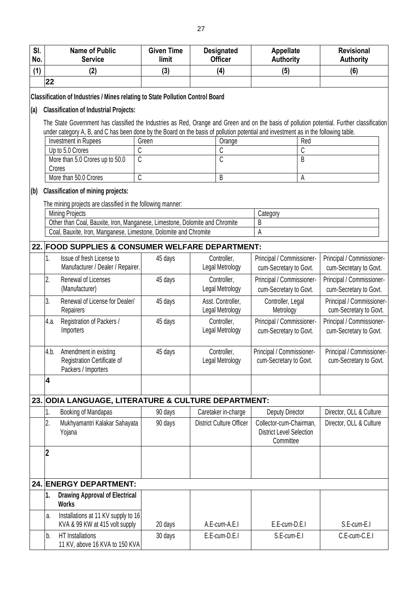| SI.<br>No. | <b>Name of Public</b><br><b>Service</b>                                                                                                         | <b>Given Time</b><br>limit | <b>Designated</b><br><b>Officer</b>  | <b>Appellate</b><br><b>Authority</b>                                    |        | <b>Revisional</b><br><b>Authority</b>               |
|------------|-------------------------------------------------------------------------------------------------------------------------------------------------|----------------------------|--------------------------------------|-------------------------------------------------------------------------|--------|-----------------------------------------------------|
| (1)        | (2)                                                                                                                                             | (3)                        | (4)                                  | (5)                                                                     |        | (6)                                                 |
|            | 22                                                                                                                                              |                            |                                      |                                                                         |        |                                                     |
|            | Classification of Industries / Mines relating to State Pollution Control Board                                                                  |                            |                                      |                                                                         |        |                                                     |
| (a)        | <b>Classification of Industrial Projects:</b>                                                                                                   |                            |                                      |                                                                         |        |                                                     |
|            | The State Government has classified the Industries as Red, Orange and Green and on the basis of pollution potential. Further classification     |                            |                                      |                                                                         |        |                                                     |
|            | under category A, B, and C has been done by the Board on the basis of pollution potential and investment as in the following table.             |                            |                                      |                                                                         |        |                                                     |
|            | Investment in Rupees                                                                                                                            | Green                      | Orange                               |                                                                         | Red    |                                                     |
|            | C<br>Up to 5.0 Crores<br>More than 5.0 Crores up to 50.0<br>C                                                                                   |                            | C<br>C                               |                                                                         | C<br>B |                                                     |
|            | Crores                                                                                                                                          |                            |                                      |                                                                         |        |                                                     |
|            | $\overline{C}$<br>More than 50.0 Crores                                                                                                         |                            | B                                    |                                                                         | Α      |                                                     |
| (b)        | <b>Classification of mining projects:</b>                                                                                                       |                            |                                      |                                                                         |        |                                                     |
|            | The mining projects are classified in the following manner:                                                                                     |                            |                                      |                                                                         |        |                                                     |
|            | <b>Mining Projects</b>                                                                                                                          |                            |                                      | Category                                                                |        |                                                     |
|            | Other than Coal, Bauxite, Iron, Manganese, Limestone, Dolomite and Chromite<br>Coal, Bauxite, Iron, Manganese, Limestone, Dolomite and Chromite |                            |                                      | B<br>A                                                                  |        |                                                     |
|            |                                                                                                                                                 |                            |                                      |                                                                         |        |                                                     |
|            | 22. FOOD SUPPLIES & CONSUMER WELFARE DEPARTMENT:                                                                                                |                            |                                      |                                                                         |        |                                                     |
|            | 1.<br>Issue of fresh License to<br>Manufacturer / Dealer / Repairer.                                                                            | 45 days                    | Controller,<br>Legal Metrology       | Principal / Commissioner-<br>cum-Secretary to Govt.                     |        | Principal / Commissioner-<br>cum-Secretary to Govt. |
|            | 2.<br><b>Renewal of Licenses</b>                                                                                                                | 45 days                    | Controller,                          | Principal / Commissioner-                                               |        | Principal / Commissioner-                           |
|            | (Manufacturer)                                                                                                                                  |                            | Legal Metrology                      | cum-Secretary to Govt.                                                  |        | cum-Secretary to Govt.                              |
|            | 3.<br>Renewal of License for Dealer/<br>Repairers                                                                                               | 45 days                    | Asst. Controller,<br>Legal Metrology | Controller, Legal<br>Metrology                                          |        | Principal / Commissioner-<br>cum-Secretary to Govt. |
|            | Registration of Packers /<br>4.a.<br>Importers                                                                                                  | 45 days                    | Controller,<br>Legal Metrology       | Principal / Commissioner-<br>cum-Secretary to Govt.                     |        | Principal / Commissioner-<br>cum-Secretary to Govt. |
|            | 4.b.<br>Amendment in existing<br>Registration Certificate of<br>Packers / Importers                                                             | 45 days                    | Controller,<br>Legal Metrology       | Principal / Commissioner-<br>cum-Secretary to Govt.                     |        | Principal / Commissioner-<br>cum-Secretary to Govt. |
|            | $\overline{\mathbf{4}}$                                                                                                                         |                            |                                      |                                                                         |        |                                                     |
|            | 23. ODIA LANGUAGE, LITERATURE & CULTURE DEPARTMENT:                                                                                             |                            |                                      |                                                                         |        |                                                     |
|            | Booking of Mandapas<br>1.                                                                                                                       | 90 days                    | Caretaker in-charge                  | Deputy Director                                                         |        | Director, OLL & Culture                             |
|            | 2.<br>Mukhyamantri Kalakar Sahayata<br>Yojana                                                                                                   | 90 days                    | <b>District Culture Officer</b>      | Collector-cum-Chairman,<br><b>District Level Selection</b><br>Committee |        | Director, OLL & Culture                             |
|            | $\boldsymbol{2}$                                                                                                                                |                            |                                      |                                                                         |        |                                                     |
|            | <b>24. ENERGY DEPARTMENT:</b>                                                                                                                   |                            |                                      |                                                                         |        |                                                     |
|            | 1.<br><b>Drawing Approval of Electrical</b><br><b>Works</b>                                                                                     |                            |                                      |                                                                         |        |                                                     |
|            | Installations at 11 KV supply to 16<br>a.<br>KVA & 99 KW at 415 volt supply                                                                     | 20 days                    | A.E-cum-A.E.I                        | $E.E$ -cum- $D.E.I$                                                     |        | S.E-cum-E.I                                         |
|            | HT Installations<br>b.<br>11 KV, above 16 KVA to 150 KVA                                                                                        | 30 days                    | E.E-cum-D.E.I                        | S.E-cum-E.I                                                             |        | C.E-cum-C.E.I                                       |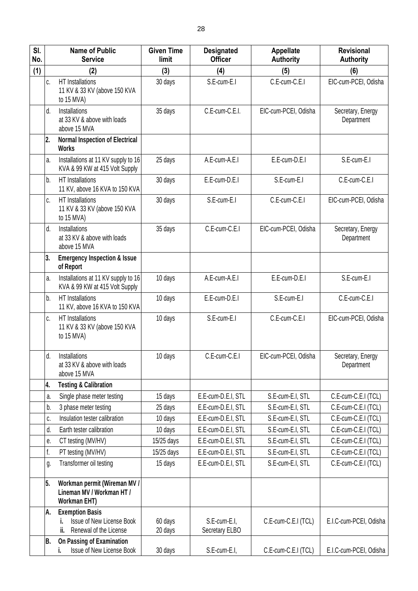| SI.<br>No. |              | <b>Name of Public</b><br><b>Service</b>                                              | <b>Given Time</b><br>limit | <b>Designated</b><br><b>Officer</b> | <b>Appellate</b><br><b>Authority</b> | <b>Revisional</b><br><b>Authority</b> |
|------------|--------------|--------------------------------------------------------------------------------------|----------------------------|-------------------------------------|--------------------------------------|---------------------------------------|
| (1)        |              | (2)                                                                                  | (3)                        | (4)                                 | (5)                                  | (6)                                   |
|            | C.           | HT Installations<br>11 KV & 33 KV (above 150 KVA<br>to 15 MVA)                       | 30 days                    | S.E-cum-E.I                         | C.E-cum-C.E.I                        | EIC-cum-PCEI, Odisha                  |
|            | d.           | Installations<br>at 33 KV & above with loads<br>above 15 MVA                         | 35 days                    | C.E-cum-C.E.I.                      | EIC-cum-PCEI, Odisha                 | Secretary, Energy<br>Department       |
|            | 2.           | <b>Normal Inspection of Electrical</b><br><b>Works</b>                               |                            |                                     |                                      |                                       |
|            | a.           | Installations at 11 KV supply to 16<br>KVA & 99 KW at 415 Volt Supply                | 25 days                    | A.E-cum-A.E.I                       | E.E-cum-D.E.I                        | S.E-cum-E.I                           |
|            | b.           | <b>HT</b> Installations<br>11 KV, above 16 KVA to 150 KVA                            | 30 days                    | E.E-cum-D.E.I                       | S.E-cum-E.I                          | C.E-cum-C.E.I                         |
|            | C.           | <b>HT</b> Installations<br>11 KV & 33 KV (above 150 KVA<br>to 15 MVA)                | 30 days                    | S.E-cum-E.I                         | C.E-cum-C.E.I                        | EIC-cum-PCEI, Odisha                  |
|            | d.           | Installations<br>at 33 KV & above with loads<br>above 15 MVA                         | 35 days                    | C.E-cum-C.E.I                       | EIC-cum-PCEI, Odisha                 | Secretary, Energy<br>Department       |
|            | 3.           | <b>Emergency Inspection &amp; Issue</b><br>of Report                                 |                            |                                     |                                      |                                       |
|            | a.           | Installations at 11 KV supply to 16<br>KVA & 99 KW at 415 Volt Supply                | 10 days                    | A.E-cum-A.E.I                       | E.E-cum-D.E.I                        | S.E-cum-E.I                           |
|            | b.           | <b>HT</b> Installations<br>11 KV, above 16 KVA to 150 KVA                            | 10 days                    | E.E-cum-D.E.I                       | S.E-cum-E.I                          | C.E-cum-C.E.I                         |
|            | C.           | HT Installations<br>11 KV & 33 KV (above 150 KVA<br>to $15$ MVA)                     | 10 days                    | S.E-cum-E.I                         | C.E-cum-C.E.I                        | EIC-cum-PCEI, Odisha                  |
|            | d.           | Installations<br>at 33 KV & above with loads<br>above 15 MVA                         | 10 days                    | C.E-cum-C.E.I                       | EIC-cum-PCEI, Odisha                 | Secretary, Energy<br>Department       |
|            | 4.           | <b>Testing &amp; Calibration</b>                                                     |                            |                                     |                                      |                                       |
|            | a.           | Single phase meter testing                                                           | 15 days                    | E.E-cum-D.E.I, STL                  | S.E-cum-E.I, STL                     | C.E-cum-C.E.I (TCL)                   |
|            | b.           | 3 phase meter testing                                                                | 25 days                    | E.E-cum-D.E.I, STL                  | S.E-cum-E.I, STL                     | C.E-cum-C.E.I (TCL)                   |
|            | C.           | Insulation tester calibration                                                        | 10 days                    | E.E-cum-D.E.I, STL                  | S.E-cum-E.I, STL                     | C.E-cum-C.E.I (TCL)                   |
|            | d.           | Earth tester calibration                                                             | 10 days                    | E.E-cum-D.E.I, STL                  | S.E-cum-E.I, STL                     | C.E-cum-C.E.I (TCL)                   |
|            | е.           | CT testing (MV/HV)                                                                   | 15/25 days                 | E.E-cum-D.E.I, STL                  | S.E-cum-E.I. STL                     | C.E-cum-C.E.I (TCL)                   |
|            | $f_{\rm{r}}$ | PT testing (MV/HV)                                                                   | 15/25 days                 | E.E-cum-D.E.I, STL                  | S.E-cum-E.I, STL                     | C.E-cum-C.E.I (TCL)                   |
|            | g.           | Transformer oil testing                                                              | 15 days                    | E.E-cum-D.E.I, STL                  | S.E-cum-E.I, STL                     | C.E-cum-C.E.I (TCL)                   |
|            | 5.           | Workman permit (Wireman MV /<br>Lineman MV / Workman HT /<br><b>Workman EHT)</b>     |                            |                                     |                                      |                                       |
|            | A.           | <b>Exemption Basis</b><br>Issue of New License Book<br>Renewal of the License<br>ii. | 60 days<br>20 days         | S.E-cum-E.I,<br>Secretary ELBO      | C.E-cum-C.E.I (TCL)                  | E.I.C-cum-PCEI, Odisha                |
|            | В.           | On Passing of Examination<br>Issue of New License Book<br>i.                         | 30 days                    | S.E-cum-E.I,                        | C.E-cum-C.E.I (TCL)                  | E.I.C-cum-PCEI, Odisha                |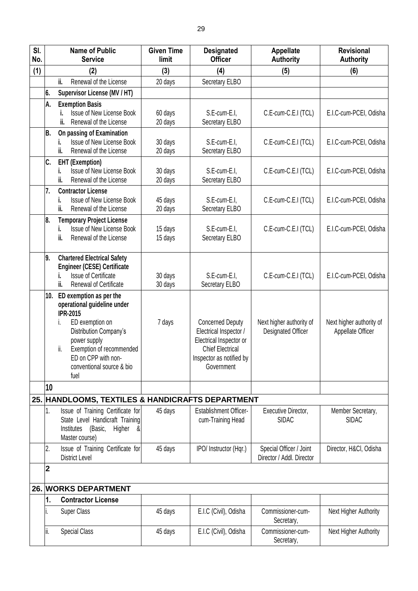| SI.<br>No. |              | <b>Name of Public</b><br><b>Service</b>                                                                                                                                                                                                     | <b>Given Time</b><br>limit | <b>Designated</b><br><b>Officer</b>                                                                                                               | Appellate<br><b>Authority</b>                        | <b>Revisional</b><br><b>Authority</b>         |
|------------|--------------|---------------------------------------------------------------------------------------------------------------------------------------------------------------------------------------------------------------------------------------------|----------------------------|---------------------------------------------------------------------------------------------------------------------------------------------------|------------------------------------------------------|-----------------------------------------------|
| (1)        |              | (2)                                                                                                                                                                                                                                         | (3)                        | (4)                                                                                                                                               | (5)                                                  | (6)                                           |
|            |              | ii.<br>Renewal of the License                                                                                                                                                                                                               | 20 days                    | Secretary ELBO                                                                                                                                    |                                                      |                                               |
|            | 6.           | Supervisor License (MV / HT)                                                                                                                                                                                                                |                            |                                                                                                                                                   |                                                      |                                               |
|            | А.           | <b>Exemption Basis</b><br>Issue of New License Book<br>Renewal of the License<br>ii.                                                                                                                                                        | 60 days<br>20 days         | S.E-cum-E.I,<br>Secretary ELBO                                                                                                                    | C.E-cum-C.E.I (TCL)                                  | E.I.C-cum-PCEI, Odisha                        |
|            | B.           | On passing of Examination<br>Issue of New License Book<br>i.<br>ii.<br>Renewal of the License                                                                                                                                               | 30 days<br>20 days         | S.E-cum-E.I.<br>Secretary ELBO                                                                                                                    | C.E-cum-C.E.I (TCL)                                  | E.I.C-cum-PCEI, Odisha                        |
|            | C.           | <b>EHT (Exemption)</b><br>Issue of New License Book<br>i.<br>ii.<br>Renewal of the License                                                                                                                                                  | 30 days<br>20 days         | S.E-cum-E.I,<br>Secretary ELBO                                                                                                                    | C.E-cum-C.E.I (TCL)                                  | E.I.C-cum-PCEI, Odisha                        |
|            | 7.           | <b>Contractor License</b><br>Issue of New License Book<br>i.<br>ii.<br>Renewal of the License                                                                                                                                               | 45 days<br>20 days         | S.E-cum-E.I.<br>Secretary ELBO                                                                                                                    | C.E-cum-C.E.I (TCL)                                  | E.I.C-cum-PCEI, Odisha                        |
|            | 8.           | <b>Temporary Project License</b><br><b>Issue of New License Book</b><br>i.<br>ii.<br>Renewal of the License                                                                                                                                 | 15 days<br>15 days         | S.E-cum-E.I,<br>Secretary ELBO                                                                                                                    | C.E-cum-C.E.I (TCL)                                  | E.I.C-cum-PCEI, Odisha                        |
|            | 9.           | <b>Chartered Electrical Safety</b><br><b>Engineer (CESE) Certificate</b><br><b>Issue of Certificate</b><br>i.<br>ii.<br><b>Renewal of Certificate</b>                                                                                       | 30 days<br>30 days         | S.E-cum-E.I,<br>Secretary ELBO                                                                                                                    | C.E-cum-C.E.I (TCL)                                  | E.I.C-cum-PCEI, Odisha                        |
|            | 10.          | ED exemption as per the<br>operational guideline under<br><b>IPR-2015</b><br>ED exemption on<br>I.<br>Distribution Company's<br>power supply<br>Exemption of recommended<br>ii.<br>ED on CPP with non-<br>conventional source & bio<br>fuel | 7 days                     | <b>Concerned Deputy</b><br>Electrical Inspector /<br>Electrical Inspector or<br><b>Chief Electrical</b><br>Inspector as notified by<br>Government | Next higher authority of<br>Designated Officer       | Next higher authority of<br>Appellate Officer |
|            | 10           |                                                                                                                                                                                                                                             |                            |                                                                                                                                                   |                                                      |                                               |
|            |              | 25. HANDLOOMS, TEXTILES & HANDICRAFTS DEPARTMENT                                                                                                                                                                                            |                            |                                                                                                                                                   |                                                      |                                               |
|            | 1.           | Issue of Training Certificate for<br>State Level Handicraft Training<br>Higher &<br>Institutes (Basic,<br>Master course)                                                                                                                    | 45 days                    | <b>Establishment Officer-</b><br>cum-Training Head                                                                                                | Executive Director,<br><b>SIDAC</b>                  | Member Secretary,<br><b>SIDAC</b>             |
|            | 2.           | Issue of Training Certificate for<br><b>District Level</b>                                                                                                                                                                                  | 45 days                    | IPO/ Instructor (Hqr.)                                                                                                                            | Special Officer / Joint<br>Director / Addl. Director | Director, H&Cl, Odisha                        |
|            | $\mathbf{2}$ |                                                                                                                                                                                                                                             |                            |                                                                                                                                                   |                                                      |                                               |
|            |              | 26. WORKS DEPARTMENT                                                                                                                                                                                                                        |                            |                                                                                                                                                   |                                                      |                                               |
|            | 1.           | <b>Contractor License</b>                                                                                                                                                                                                                   |                            |                                                                                                                                                   |                                                      |                                               |
|            |              | <b>Super Class</b>                                                                                                                                                                                                                          | 45 days                    | E.I.C (Civil), Odisha                                                                                                                             | Commissioner-cum-<br>Secretary,                      | Next Higher Authority                         |
|            | ii.          | <b>Special Class</b>                                                                                                                                                                                                                        | 45 days                    | E.I.C (Civil), Odisha                                                                                                                             | Commissioner-cum-<br>Secretary,                      | Next Higher Authority                         |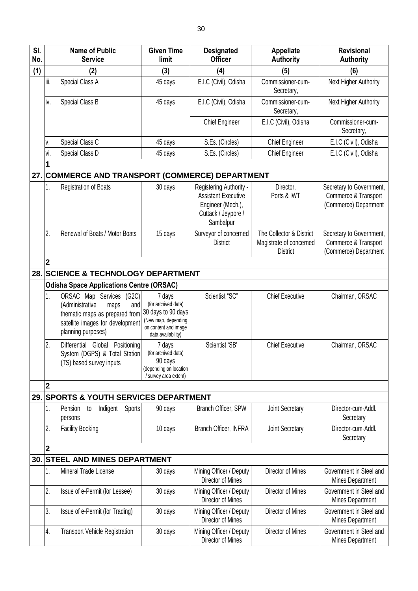| SI.<br>No. |                         | <b>Name of Public</b><br><b>Service</b>                                                                                                                | <b>Given Time</b><br>limit                                                                                               | <b>Designated</b><br><b>Officer</b>                                                                            | <b>Appellate</b><br><b>Authority</b>                                   | <b>Revisional</b><br><b>Authority</b>                                     |
|------------|-------------------------|--------------------------------------------------------------------------------------------------------------------------------------------------------|--------------------------------------------------------------------------------------------------------------------------|----------------------------------------------------------------------------------------------------------------|------------------------------------------------------------------------|---------------------------------------------------------------------------|
| (1)        |                         | (2)                                                                                                                                                    | (3)                                                                                                                      | (4)                                                                                                            | (5)                                                                    | (6)                                                                       |
|            | iii.                    | Special Class A                                                                                                                                        | 45 days                                                                                                                  | E.I.C (Civil), Odisha                                                                                          | Commissioner-cum-<br>Secretary,                                        | Next Higher Authority                                                     |
|            | iv.                     | Special Class B                                                                                                                                        | 45 days                                                                                                                  | E.I.C (Civil), Odisha                                                                                          | Commissioner-cum-<br>Secretary,                                        | Next Higher Authority                                                     |
|            |                         |                                                                                                                                                        |                                                                                                                          | <b>Chief Engineer</b>                                                                                          | E.I.C (Civil), Odisha                                                  | Commissioner-cum-<br>Secretary,                                           |
|            | ٧.                      | Special Class C                                                                                                                                        | 45 days                                                                                                                  | S.Es. (Circles)                                                                                                | <b>Chief Engineer</b>                                                  | E.I.C (Civil), Odisha                                                     |
|            | vi.                     | Special Class D                                                                                                                                        | 45 days                                                                                                                  | S.Es. (Circles)                                                                                                | <b>Chief Engineer</b>                                                  | E.I.C (Civil), Odisha                                                     |
|            | 1                       |                                                                                                                                                        |                                                                                                                          |                                                                                                                |                                                                        |                                                                           |
| 27.        |                         | <b>COMMERCE AND TRANSPORT (COMMERCE) DEPARTMENT</b>                                                                                                    |                                                                                                                          |                                                                                                                |                                                                        |                                                                           |
|            | 1.                      | <b>Registration of Boats</b>                                                                                                                           | 30 days                                                                                                                  | Registering Authority -<br><b>Assistant Executive</b><br>Engineer (Mech.),<br>Cuttack / Jeypore /<br>Sambalpur | Director,<br>Ports & IWT                                               | Secretary to Government,<br>Commerce & Transport<br>(Commerce) Department |
|            | 2.                      | Renewal of Boats / Motor Boats                                                                                                                         | 15 days                                                                                                                  | Surveyor of concerned<br><b>District</b>                                                                       | The Collector & District<br>Magistrate of concerned<br><b>District</b> | Secretary to Government,<br>Commerce & Transport<br>(Commerce) Department |
|            | $\overline{2}$          |                                                                                                                                                        |                                                                                                                          |                                                                                                                |                                                                        |                                                                           |
| 28.        |                         | <b>SCIENCE &amp; TECHNOLOGY DEPARTMENT</b>                                                                                                             |                                                                                                                          |                                                                                                                |                                                                        |                                                                           |
|            |                         | <b>Odisha Space Applications Centre (ORSAC)</b>                                                                                                        |                                                                                                                          |                                                                                                                |                                                                        |                                                                           |
|            | 1.                      | ORSAC Map Services (G2C)<br>(Administrative<br>and<br>maps<br>thematic maps as prepared from<br>satellite images for development<br>planning purposes) | 7 days<br>(for archived data)<br>30 days to 90 days<br>(New map, depending<br>on content and image<br>data availability) | Scientist "SC"                                                                                                 | <b>Chief Executive</b>                                                 | Chairman, ORSAC                                                           |
|            | 2.                      | Differential Global Positioning<br>System (DGPS) & Total Station<br>(TS) based survey inputs                                                           | 7 days<br>(for archived data)<br>90 days<br>(depending on location<br>/ survey area extent)                              | Scientist 'SB'                                                                                                 | <b>Chief Executive</b>                                                 | Chairman, ORSAC                                                           |
|            | $\mathbf{2}$            |                                                                                                                                                        |                                                                                                                          |                                                                                                                |                                                                        |                                                                           |
| 29.        |                         | <b>SPORTS &amp; YOUTH SERVICES DEPARTMENT</b>                                                                                                          |                                                                                                                          |                                                                                                                |                                                                        |                                                                           |
|            | 1.                      | Sports<br>Indigent<br>Pension<br>to<br>persons                                                                                                         | 90 days                                                                                                                  | Branch Officer, SPW                                                                                            | Joint Secretary                                                        | Director-cum-Addl.<br>Secretary                                           |
|            | 2.                      | <b>Facility Booking</b>                                                                                                                                | 10 days                                                                                                                  | Branch Officer, INFRA                                                                                          | Joint Secretary                                                        | Director-cum-Addl.<br>Secretary                                           |
|            | $\overline{\mathbf{2}}$ |                                                                                                                                                        |                                                                                                                          |                                                                                                                |                                                                        |                                                                           |
| 30.        |                         | <b>STEEL AND MINES DEPARTMENT</b>                                                                                                                      |                                                                                                                          |                                                                                                                |                                                                        |                                                                           |
|            | 1.                      | Mineral Trade License                                                                                                                                  | 30 days                                                                                                                  | Mining Officer / Deputy<br>Director of Mines                                                                   | Director of Mines                                                      | Government in Steel and<br>Mines Department                               |
|            | 2.                      | Issue of e-Permit (for Lessee)                                                                                                                         | 30 days                                                                                                                  | Mining Officer / Deputy<br>Director of Mines                                                                   | Director of Mines                                                      | Government in Steel and<br>Mines Department                               |
|            | 3.                      | Issue of e-Permit (for Trading)                                                                                                                        | 30 days                                                                                                                  | Mining Officer / Deputy<br>Director of Mines                                                                   | Director of Mines                                                      | Government in Steel and<br>Mines Department                               |
|            | 4.                      | <b>Transport Vehicle Registration</b>                                                                                                                  | 30 days                                                                                                                  | Mining Officer / Deputy<br>Director of Mines                                                                   | Director of Mines                                                      | Government in Steel and<br>Mines Department                               |